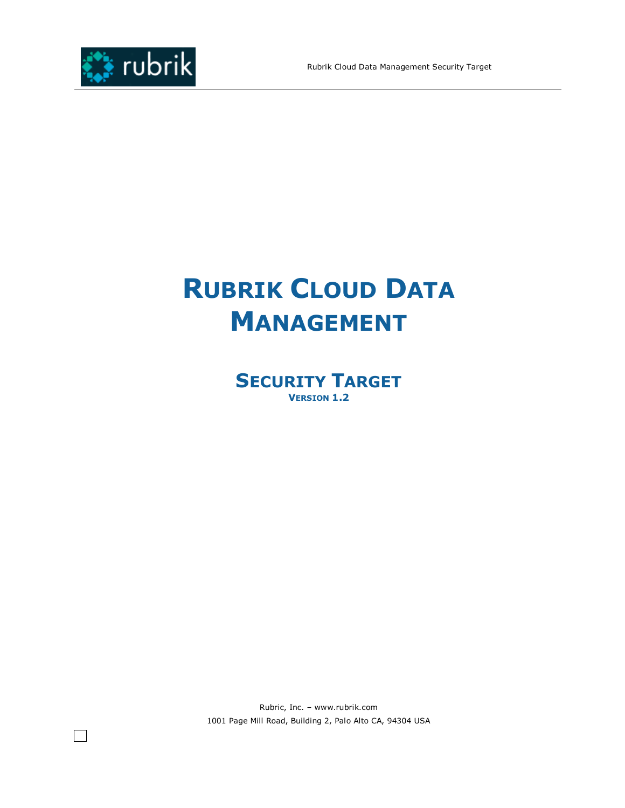

# **RUBRIK CLOUD DATA MANAGEMENT**

**SECURITY TARGET VERSION 1.2** 

Rubric, Inc. – www.rubrik.com 1001 Page Mill Road, Building 2, Palo Alto CA, 94304 USA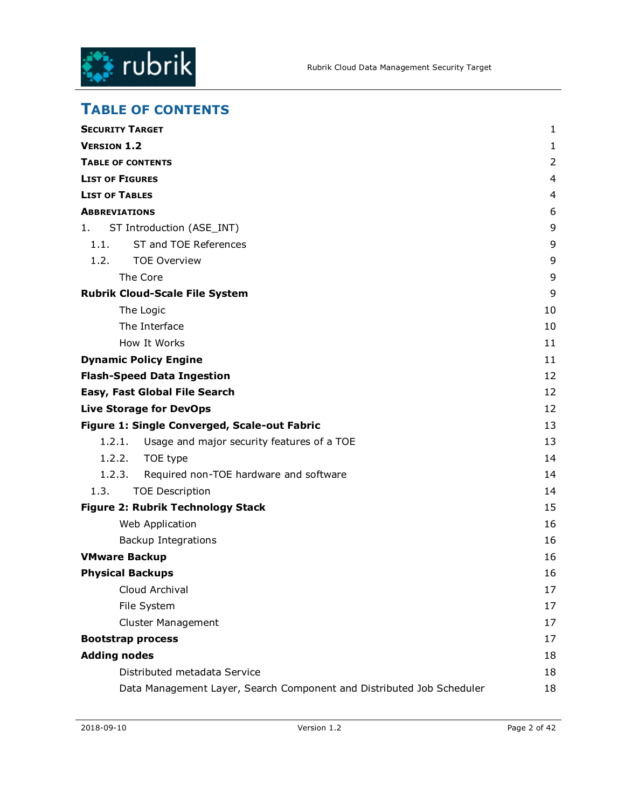

# **TABLE OF CONTENTS**

| <b>SECURITY TARGET</b>                                                | 1  |
|-----------------------------------------------------------------------|----|
| <b>VERSION 1.2</b>                                                    | 1  |
| <b>TABLE OF CONTENTS</b>                                              | 2  |
| <b>LIST OF FIGURES</b>                                                | 4  |
| <b>LIST OF TABLES</b>                                                 | 4  |
| <b>ABBREVIATIONS</b>                                                  | 6  |
| ST Introduction (ASE_INT)<br>1.                                       | 9  |
| ST and TOE References<br>1.1.                                         | 9  |
| 1.2.<br><b>TOE Overview</b>                                           | 9  |
| The Core                                                              | 9  |
| <b>Rubrik Cloud-Scale File System</b>                                 | 9  |
| The Logic                                                             | 10 |
| The Interface                                                         | 10 |
| How It Works                                                          | 11 |
| <b>Dynamic Policy Engine</b>                                          | 11 |
| <b>Flash-Speed Data Ingestion</b>                                     | 12 |
| Easy, Fast Global File Search                                         | 12 |
| <b>Live Storage for DevOps</b>                                        | 12 |
| Figure 1: Single Converged, Scale-out Fabric                          | 13 |
| 1.2.1.<br>Usage and major security features of a TOE                  | 13 |
| 1.2.2.<br>TOE type                                                    | 14 |
| 1.2.3.<br>Required non-TOE hardware and software                      | 14 |
| 1.3.<br><b>TOE Description</b>                                        | 14 |
| <b>Figure 2: Rubrik Technology Stack</b>                              | 15 |
| Web Application                                                       | 16 |
| <b>Backup Integrations</b>                                            | 16 |
| <b>VMware Backup</b>                                                  | 16 |
| <b>Physical Backups</b>                                               | 16 |
| Cloud Archival                                                        | 17 |
| File System                                                           | 17 |
| <b>Cluster Management</b>                                             | 17 |
| <b>Bootstrap process</b>                                              | 17 |
| <b>Adding nodes</b>                                                   | 18 |
| Distributed metadata Service                                          | 18 |
| Data Management Layer, Search Component and Distributed Job Scheduler | 18 |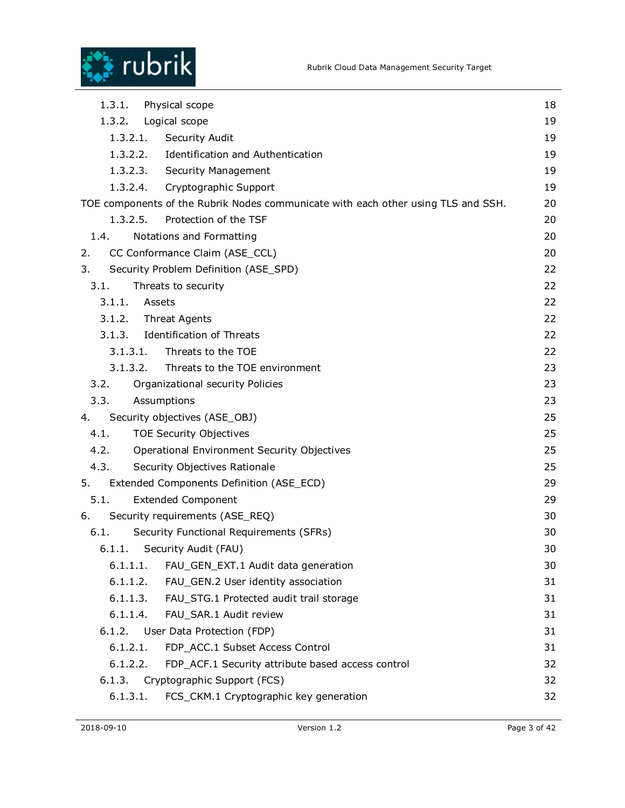



| 1.3.1.<br>Physical scope                                                          |    |
|-----------------------------------------------------------------------------------|----|
| 1.3.2.<br>Logical scope                                                           | 19 |
| 1.3.2.1.<br>Security Audit                                                        | 19 |
| 1.3.2.2. Identification and Authentication                                        | 19 |
| 1.3.2.3. Security Management                                                      | 19 |
| 1.3.2.4.<br>Cryptographic Support                                                 | 19 |
| TOE components of the Rubrik Nodes communicate with each other using TLS and SSH. | 20 |
| 1.3.2.5.<br>Protection of the TSF                                                 | 20 |
| 1.4.<br>Notations and Formatting                                                  | 20 |
| CC Conformance Claim (ASE_CCL)<br>2.                                              | 20 |
| 3.<br>Security Problem Definition (ASE_SPD)                                       | 22 |
| 3.1.<br>Threats to security                                                       | 22 |
| 3.1.1.<br>Assets                                                                  | 22 |
| 3.1.2.<br><b>Threat Agents</b>                                                    | 22 |
| <b>Identification of Threats</b><br>3.1.3.                                        | 22 |
| 3.1.3.1.<br>Threats to the TOE                                                    | 22 |
| 3.1.3.2.<br>Threats to the TOE environment                                        |    |
| 3.2.<br>Organizational security Policies                                          | 23 |
| 3.3.<br>Assumptions                                                               | 23 |
| Security objectives (ASE_OBJ)<br>4.                                               | 25 |
| 4.1.<br><b>TOE Security Objectives</b>                                            | 25 |
| 4.2.<br>Operational Environment Security Objectives                               | 25 |
| 4.3.<br>Security Objectives Rationale                                             | 25 |
| 5.<br>Extended Components Definition (ASE_ECD)                                    | 29 |
| 5.1.<br><b>Extended Component</b>                                                 | 29 |
| Security requirements (ASE_REQ)<br>6.                                             | 30 |
| 6.1.<br>Security Functional Requirements (SFRs)                                   | 30 |
| Security Audit (FAU)<br>6.1.1.                                                    | 30 |
| 6.1.1.1.<br>FAU_GEN_EXT.1 Audit data generation                                   | 30 |
| 6.1.1.2.<br>FAU_GEN.2 User identity association                                   | 31 |
| 6.1.1.3.<br>FAU_STG.1 Protected audit trail storage                               | 31 |
| 6.1.1.4.<br>FAU SAR.1 Audit review                                                | 31 |
| 6.1.2.<br>User Data Protection (FDP)                                              | 31 |
| FDP_ACC.1 Subset Access Control<br>6.1.2.1.                                       | 31 |
| 6.1.2.2.<br>FDP_ACF.1 Security attribute based access control                     | 32 |
| 6.1.3.<br>Cryptographic Support (FCS)                                             | 32 |
| 6.1.3.1.<br>FCS_CKM.1 Cryptographic key generation                                | 32 |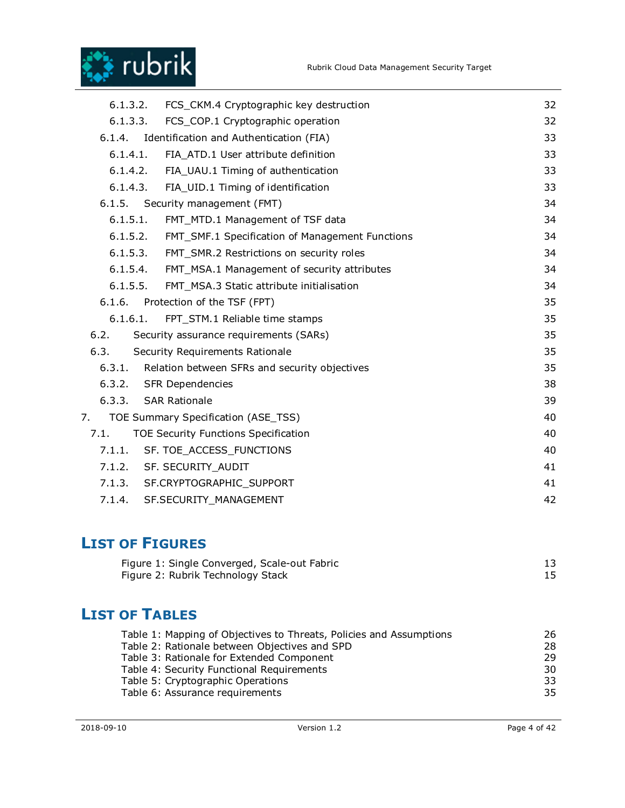

| 6.1.3.2.                                      | FCS_CKM.4 Cryptographic key destruction            | 32 |
|-----------------------------------------------|----------------------------------------------------|----|
| 6.1.3.3.<br>FCS_COP.1 Cryptographic operation |                                                    | 32 |
| 6.1.4.                                        | Identification and Authentication (FIA)            | 33 |
| 6.1.4.1.                                      | FIA ATD.1 User attribute definition                | 33 |
|                                               | 6.1.4.2. FIA_UAU.1 Timing of authentication        | 33 |
| 6.1.4.3.                                      | FIA UID.1 Timing of identification                 | 33 |
|                                               | 6.1.5. Security management (FMT)                   | 34 |
| 6.1.5.1.                                      | FMT_MTD.1 Management of TSF data                   | 34 |
| 6.1.5.2.                                      | FMT_SMF.1 Specification of Management Functions    | 34 |
| 6.1.5.3.                                      | FMT_SMR.2 Restrictions on security roles           | 34 |
| 6.1.5.4.                                      | FMT_MSA.1 Management of security attributes        | 34 |
|                                               | 6.1.5.5. FMT_MSA.3 Static attribute initialisation | 34 |
|                                               | 6.1.6. Protection of the TSF (FPT)                 | 35 |
| 6.1.6.1.                                      | FPT_STM.1 Reliable time stamps                     | 35 |
| 6.2.                                          | Security assurance requirements (SARs)             | 35 |
| 6.3.                                          | Security Requirements Rationale                    | 35 |
| 6.3.1.                                        | Relation between SFRs and security objectives      | 35 |
|                                               | 6.3.2. SFR Dependencies                            | 38 |
| 6.3.3. SAR Rationale                          |                                                    | 39 |
| 7.                                            | TOE Summary Specification (ASE_TSS)                | 40 |
| 7.1.                                          | <b>TOE Security Functions Specification</b>        | 40 |
|                                               | 7.1.1. SF. TOE_ACCESS_FUNCTIONS                    | 40 |
|                                               | 7.1.2. SF. SECURITY_AUDIT                          | 41 |
|                                               | 7.1.3. SF.CRYPTOGRAPHIC_SUPPORT                    | 41 |
| 7.1.4.                                        | SF.SECURITY MANAGEMENT                             | 42 |

# **LIST OF FIGURES**

| Figure 1: Single Converged, Scale-out Fabric |  |
|----------------------------------------------|--|
| Figure 2: Rubrik Technology Stack            |  |

# **LIST OF TABLES**

| Table 1: Mapping of Objectives to Threats, Policies and Assumptions | 26 |
|---------------------------------------------------------------------|----|
| Table 2: Rationale between Objectives and SPD                       | 28 |
| Table 3: Rationale for Extended Component                           | 29 |
| Table 4: Security Functional Requirements                           | 30 |
| Table 5: Cryptographic Operations                                   | 33 |
| Table 6: Assurance requirements                                     | 35 |
|                                                                     |    |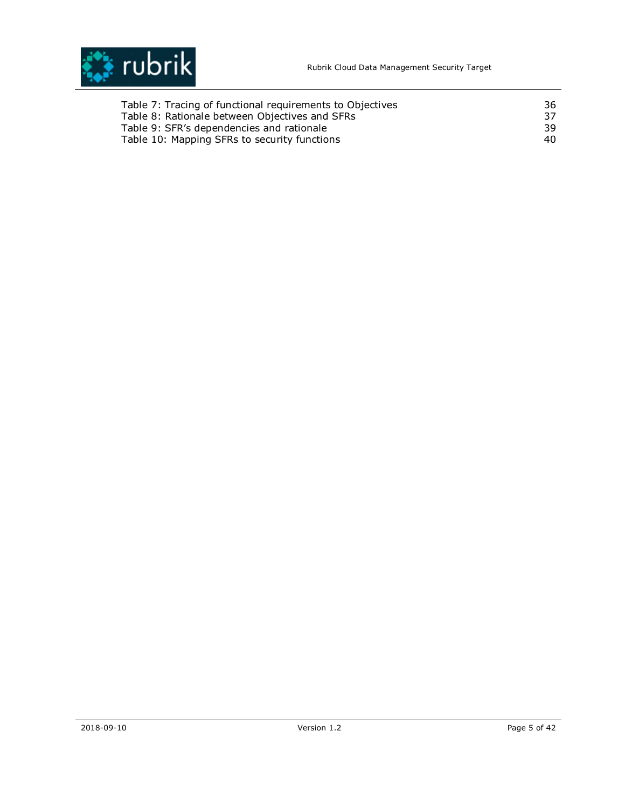

| Table 7: Tracing of functional requirements to Objectives | 36 |
|-----------------------------------------------------------|----|
| Table 8: Rationale between Objectives and SFRs            | 37 |
| Table 9: SFR's dependencies and rationale                 | 39 |
| Table 10: Mapping SFRs to security functions              | 40 |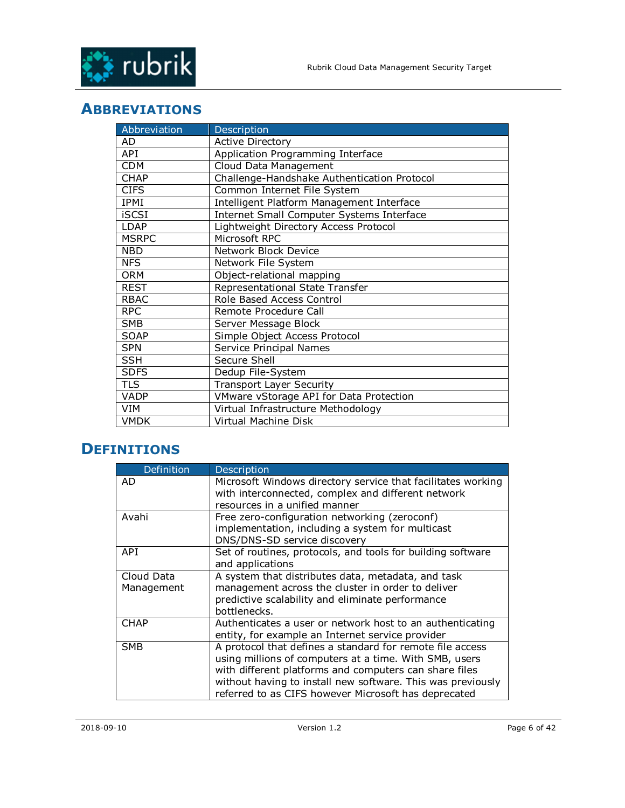

# **ABBREVIATIONS**

| Abbreviation | Description                                 |
|--------------|---------------------------------------------|
| AD           | <b>Active Directory</b>                     |
| API          | Application Programming Interface           |
| <b>CDM</b>   | Cloud Data Management                       |
| <b>CHAP</b>  | Challenge-Handshake Authentication Protocol |
| <b>CIFS</b>  | Common Internet File System                 |
| IPMI         | Intelligent Platform Management Interface   |
| <b>iSCSI</b> | Internet Small Computer Systems Interface   |
| LDAP         | Lightweight Directory Access Protocol       |
| <b>MSRPC</b> | Microsoft RPC                               |
| <b>NBD</b>   | Network Block Device                        |
| <b>NFS</b>   | Network File System                         |
| <b>ORM</b>   | Object-relational mapping                   |
| <b>REST</b>  | Representational State Transfer             |
| <b>RBAC</b>  | Role Based Access Control                   |
| <b>RPC</b>   | Remote Procedure Call                       |
| <b>SMB</b>   | Server Message Block                        |
| <b>SOAP</b>  | Simple Object Access Protocol               |
| <b>SPN</b>   | Service Principal Names                     |
| <b>SSH</b>   | Secure Shell                                |
| <b>SDFS</b>  | Dedup File-System                           |
| <b>TLS</b>   | <b>Transport Layer Security</b>             |
| VADP         | VMware vStorage API for Data Protection     |
| VIM          | Virtual Infrastructure Methodology          |
| <b>VMDK</b>  | Virtual Machine Disk                        |

# **DEFINITIONS**

| Definition  | Description                                                  |
|-------------|--------------------------------------------------------------|
| AD          | Microsoft Windows directory service that facilitates working |
|             | with interconnected, complex and different network           |
|             | resources in a unified manner                                |
| Avahi       | Free zero-configuration networking (zeroconf)                |
|             | implementation, including a system for multicast             |
|             | DNS/DNS-SD service discovery                                 |
| API         | Set of routines, protocols, and tools for building software  |
|             | and applications                                             |
| Cloud Data  | A system that distributes data, metadata, and task           |
| Management  | management across the cluster in order to deliver            |
|             | predictive scalability and eliminate performance             |
|             | bottlenecks.                                                 |
| <b>CHAP</b> | Authenticates a user or network host to an authenticating    |
|             | entity, for example an Internet service provider             |
| <b>SMB</b>  | A protocol that defines a standard for remote file access    |
|             | using millions of computers at a time. With SMB, users       |
|             | with different platforms and computers can share files       |
|             | without having to install new software. This was previously  |
|             | referred to as CIFS however Microsoft has deprecated         |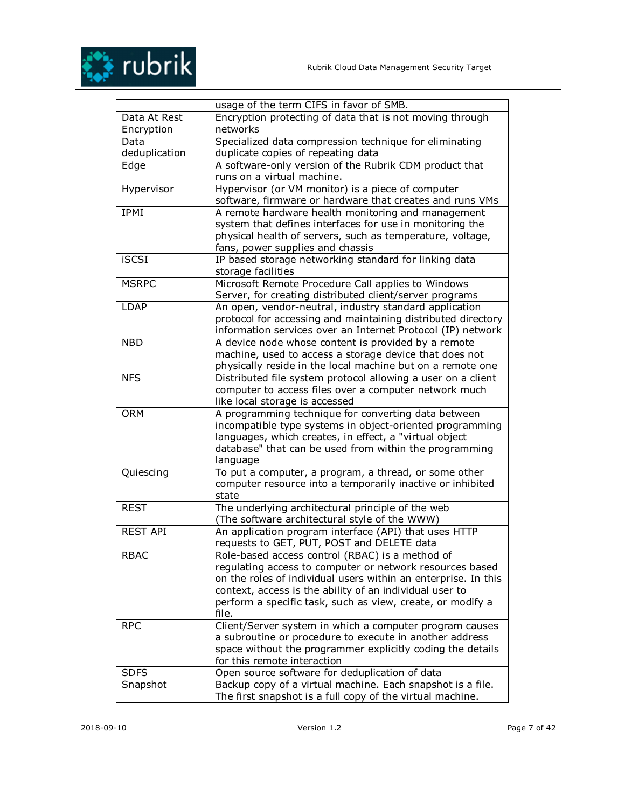

|                 | usage of the term CIFS in favor of SMB.                        |
|-----------------|----------------------------------------------------------------|
|                 |                                                                |
| Data At Rest    | Encryption protecting of data that is not moving through       |
| Encryption      | networks                                                       |
| Data            | Specialized data compression technique for eliminating         |
| deduplication   | duplicate copies of repeating data                             |
| Edge            | A software-only version of the Rubrik CDM product that         |
|                 | runs on a virtual machine.                                     |
| Hypervisor      | Hypervisor (or VM monitor) is a piece of computer              |
|                 | software, firmware or hardware that creates and runs VMs       |
| <b>IPMI</b>     | A remote hardware health monitoring and management             |
|                 | system that defines interfaces for use in monitoring the       |
|                 | physical health of servers, such as temperature, voltage,      |
|                 | fans, power supplies and chassis                               |
| <b>iSCSI</b>    | IP based storage networking standard for linking data          |
|                 | storage facilities                                             |
| <b>MSRPC</b>    | Microsoft Remote Procedure Call applies to Windows             |
|                 | Server, for creating distributed client/server programs        |
| <b>LDAP</b>     | An open, vendor-neutral, industry standard application         |
|                 | protocol for accessing and maintaining distributed directory   |
|                 | information services over an Internet Protocol (IP) network    |
| <b>NBD</b>      | A device node whose content is provided by a remote            |
|                 | machine, used to access a storage device that does not         |
|                 | physically reside in the local machine but on a remote one     |
| <b>NFS</b>      | Distributed file system protocol allowing a user on a client   |
|                 | computer to access files over a computer network much          |
|                 | like local storage is accessed                                 |
| <b>ORM</b>      | A programming technique for converting data between            |
|                 | incompatible type systems in object-oriented programming       |
|                 | languages, which creates, in effect, a "virtual object         |
|                 | database" that can be used from within the programming         |
|                 | language                                                       |
| Quiescing       | To put a computer, a program, a thread, or some other          |
|                 | computer resource into a temporarily inactive or inhibited     |
|                 | state                                                          |
| <b>REST</b>     | The underlying architectural principle of the web              |
|                 | (The software architectural style of the WWW)                  |
| <b>REST API</b> | An application program interface (API) that uses HTTP          |
|                 | requests to GET, PUT, POST and DELETE data                     |
| <b>RBAC</b>     | Role-based access control (RBAC) is a method of                |
|                 | regulating access to computer or network resources based       |
|                 | on the roles of individual users within an enterprise. In this |
|                 | context, access is the ability of an individual user to        |
|                 | perform a specific task, such as view, create, or modify a     |
|                 | file.                                                          |
| <b>RPC</b>      | Client/Server system in which a computer program causes        |
|                 | a subroutine or procedure to execute in another address        |
|                 | space without the programmer explicitly coding the details     |
|                 | for this remote interaction                                    |
| <b>SDFS</b>     | Open source software for deduplication of data                 |
| Snapshot        | Backup copy of a virtual machine. Each snapshot is a file.     |
|                 | The first snapshot is a full copy of the virtual machine.      |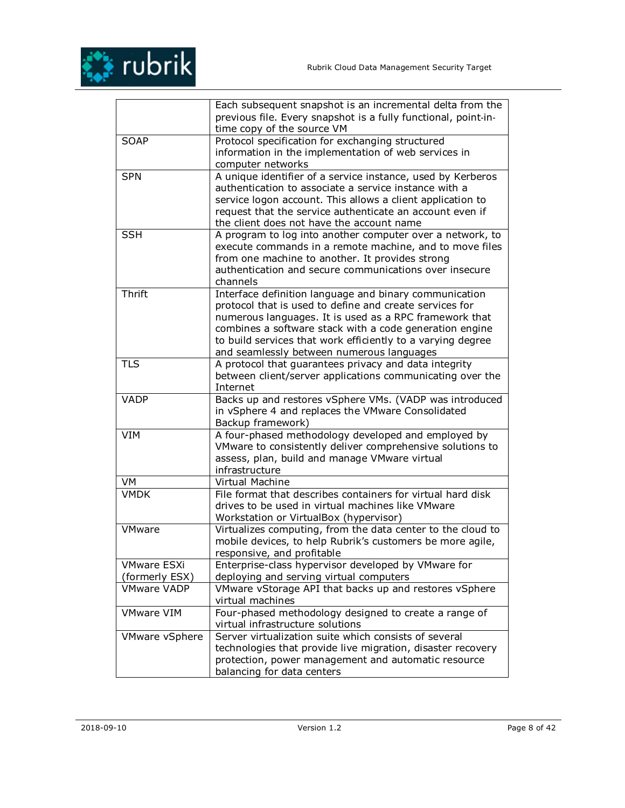

|                       | Each subsequent snapshot is an incremental delta from the      |
|-----------------------|----------------------------------------------------------------|
|                       | previous file. Every snapshot is a fully functional, point-in- |
|                       | time copy of the source VM                                     |
| <b>SOAP</b>           | Protocol specification for exchanging structured               |
|                       | information in the implementation of web services in           |
|                       | computer networks                                              |
| <b>SPN</b>            | A unique identifier of a service instance, used by Kerberos    |
|                       | authentication to associate a service instance with a          |
|                       | service logon account. This allows a client application to     |
|                       | request that the service authenticate an account even if       |
|                       | the client does not have the account name                      |
| <b>SSH</b>            | A program to log into another computer over a network, to      |
|                       | execute commands in a remote machine, and to move files        |
|                       | from one machine to another. It provides strong                |
|                       | authentication and secure communications over insecure         |
|                       | channels                                                       |
| Thrift                | Interface definition language and binary communication         |
|                       | protocol that is used to define and create services for        |
|                       | numerous languages. It is used as a RPC framework that         |
|                       | combines a software stack with a code generation engine        |
|                       | to build services that work efficiently to a varying degree    |
|                       | and seamlessly between numerous languages                      |
| <b>TLS</b>            | A protocol that guarantees privacy and data integrity          |
|                       | between client/server applications communicating over the      |
|                       | Internet                                                       |
| <b>VADP</b>           | Backs up and restores vSphere VMs. (VADP was introduced        |
|                       | in vSphere 4 and replaces the VMware Consolidated              |
|                       | Backup framework)                                              |
| <b>VIM</b>            | A four-phased methodology developed and employed by            |
|                       | VMware to consistently deliver comprehensive solutions to      |
|                       | assess, plan, build and manage VMware virtual                  |
|                       | infrastructure                                                 |
| VM                    | Virtual Machine                                                |
| <b>VMDK</b>           | File format that describes containers for virtual hard disk    |
|                       | drives to be used in virtual machines like VMware              |
|                       | Workstation or VirtualBox (hypervisor)                         |
| <b>VMware</b>         | Virtualizes computing, from the data center to the cloud to    |
|                       | mobile devices, to help Rubrik's customers be more agile,      |
|                       | responsive, and profitable                                     |
| <b>VMware ESXi</b>    | Enterprise-class hypervisor developed by VMware for            |
| (formerly ESX)        | deploying and serving virtual computers                        |
| <b>VMware VADP</b>    | VMware vStorage API that backs up and restores vSphere         |
|                       | virtual machines                                               |
| <b>VMware VIM</b>     | Four-phased methodology designed to create a range of          |
|                       | virtual infrastructure solutions                               |
| <b>VMware vSphere</b> | Server virtualization suite which consists of several          |
|                       | technologies that provide live migration, disaster recovery    |
|                       | protection, power management and automatic resource            |
|                       | balancing for data centers                                     |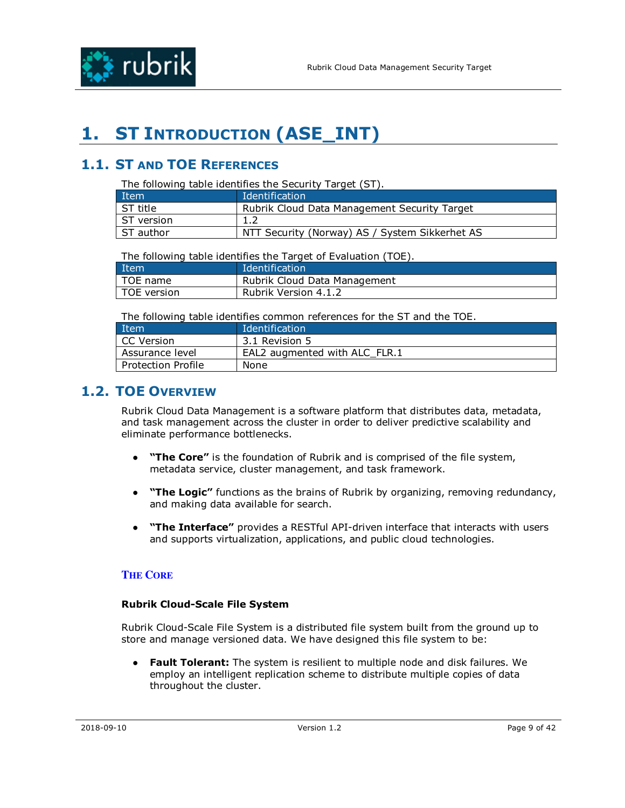

# **1. ST INTRODUCTION (ASE\_INT)**

## **1.1. ST AND TOE REFERENCES**

The following table identifies the Security Target (ST).

| Item       | Identification                                 |
|------------|------------------------------------------------|
| ST title   | Rubrik Cloud Data Management Security Target   |
| ST version |                                                |
| ST author  | NTT Security (Norway) AS / System Sikkerhet AS |

The following table identifies the Target of Evaluation (TOE).

| Item        | Identification               |
|-------------|------------------------------|
| TOE name    | Rubrik Cloud Data Management |
| TOE version | Rubrik Version 4.1.2         |

The following table identifies common references for the ST and the TOE.

| Item               | Identification                |
|--------------------|-------------------------------|
| l CC Version       | 3.1 Revision 5                |
| Assurance level    | EAL2 augmented with ALC FLR.1 |
| Protection Profile | None                          |

## **1.2. TOE OVERVIEW**

Rubrik Cloud Data Management is a software platform that distributes data, metadata, and task management across the cluster in order to deliver predictive scalability and eliminate performance bottlenecks.

- **"The Core"** is the foundation of Rubrik and is comprised of the file system, metadata service, cluster management, and task framework.
- **"The Logic"** functions as the brains of Rubrik by organizing, removing redundancy, and making data available for search.
- "The Interface" provides a RESTful API-driven interface that interacts with users and supports virtualization, applications, and public cloud technologies.

### **THE CORE**

#### **Rubrik Cloud-Scale File System**

Rubrik Cloud-Scale File System is a distributed file system built from the ground up to store and manage versioned data. We have designed this file system to be:

● **Fault Tolerant:** The system is resilient to multiple node and disk failures. We employ an intelligent replication scheme to distribute multiple copies of data throughout the cluster.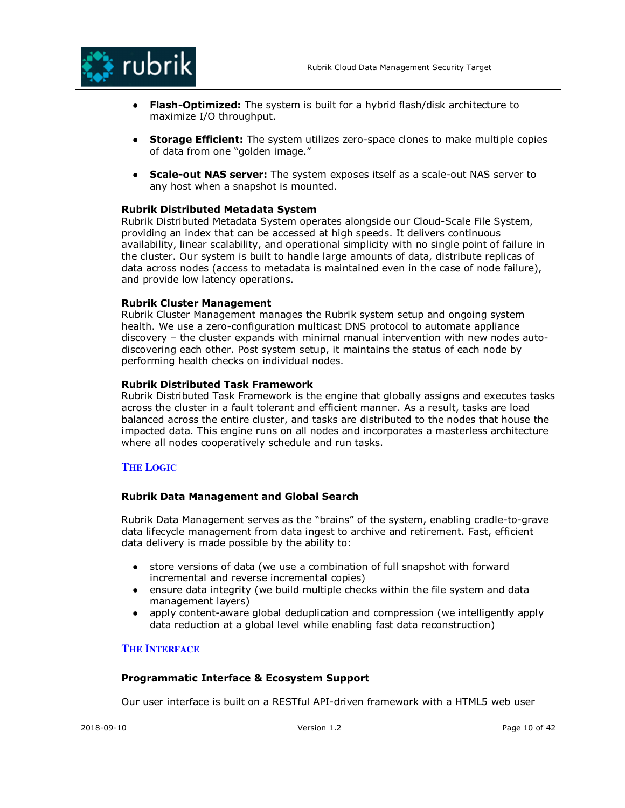

- **Flash-Optimized:** The system is built for a hybrid flash/disk architecture to maximize I/O throughput.
- **Storage Efficient:** The system utilizes zero-space clones to make multiple copies of data from one "golden image."
- **Scale-out NAS server:** The system exposes itself as a scale-out NAS server to any host when a snapshot is mounted.

### **Rubrik Distributed Metadata System**

Rubrik Distributed Metadata System operates alongside our Cloud-Scale File System, providing an index that can be accessed at high speeds. It delivers continuous availability, linear scalability, and operational simplicity with no single point of failure in the cluster. Our system is built to handle large amounts of data, distribute replicas of data across nodes (access to metadata is maintained even in the case of node failure), and provide low latency operations.

#### **Rubrik Cluster Management**

Rubrik Cluster Management manages the Rubrik system setup and ongoing system health. We use a zero-configuration multicast DNS protocol to automate appliance discovery – the cluster expands with minimal manual intervention with new nodes autodiscovering each other. Post system setup, it maintains the status of each node by performing health checks on individual nodes.

#### **Rubrik Distributed Task Framework**

Rubrik Distributed Task Framework is the engine that globally assigns and executes tasks across the cluster in a fault tolerant and efficient manner. As a result, tasks are load balanced across the entire cluster, and tasks are distributed to the nodes that house the impacted data. This engine runs on all nodes and incorporates a masterless architecture where all nodes cooperatively schedule and run tasks.

### **THE LOGIC**

### **Rubrik Data Management and Global Search**

Rubrik Data Management serves as the "brains" of the system, enabling cradle-to-grave data lifecycle management from data ingest to archive and retirement. Fast, efficient data delivery is made possible by the ability to:

- store versions of data (we use a combination of full snapshot with forward incremental and reverse incremental copies)
- ensure data integrity (we build multiple checks within the file system and data management layers)
- apply content-aware global deduplication and compression (we intelligently apply data reduction at a global level while enabling fast data reconstruction)

#### **THE INTERFACE**

#### **Programmatic Interface & Ecosystem Support**

Our user interface is built on a RESTful API-driven framework with a HTML5 web user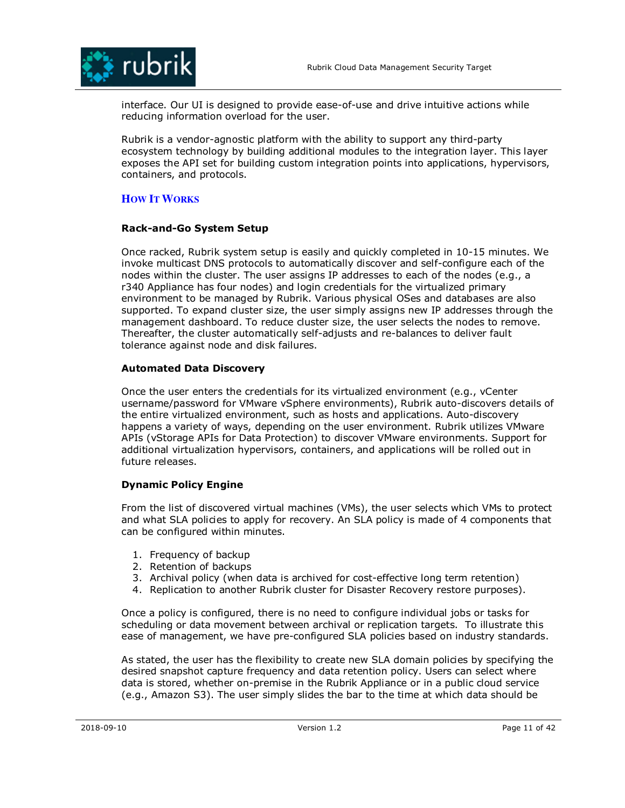

interface. Our UI is designed to provide ease-of-use and drive intuitive actions while reducing information overload for the user.

Rubrik is a vendor-agnostic platform with the ability to support any third-party ecosystem technology by building additional modules to the integration layer. This layer exposes the API set for building custom integration points into applications, hypervisors, containers, and protocols.

### **HOW IT WORKS**

### **Rack-and-Go System Setup**

Once racked, Rubrik system setup is easily and quickly completed in 10-15 minutes. We invoke multicast DNS protocols to automatically discover and self-configure each of the nodes within the cluster. The user assigns IP addresses to each of the nodes (e.g., a r340 Appliance has four nodes) and login credentials for the virtualized primary environment to be managed by Rubrik. Various physical OSes and databases are also supported. To expand cluster size, the user simply assigns new IP addresses through the management dashboard. To reduce cluster size, the user selects the nodes to remove. Thereafter, the cluster automatically self-adjusts and re-balances to deliver fault tolerance against node and disk failures.

### **Automated Data Discovery**

Once the user enters the credentials for its virtualized environment (e.g., vCenter username/password for VMware vSphere environments), Rubrik auto-discovers details of the entire virtualized environment, such as hosts and applications. Auto-discovery happens a variety of ways, depending on the user environment. Rubrik utilizes VMware APIs (vStorage APIs for Data Protection) to discover VMware environments. Support for additional virtualization hypervisors, containers, and applications will be rolled out in future releases.

### **Dynamic Policy Engine**

From the list of discovered virtual machines (VMs), the user selects which VMs to protect and what SLA policies to apply for recovery. An SLA policy is made of 4 components that can be configured within minutes.

- 1. Frequency of backup
- 2. Retention of backups
- 3. Archival policy (when data is archived for cost-effective long term retention)
- 4. Replication to another Rubrik cluster for Disaster Recovery restore purposes).

Once a policy is configured, there is no need to configure individual jobs or tasks for scheduling or data movement between archival or replication targets. To illustrate this ease of management, we have pre-configured SLA policies based on industry standards.

As stated, the user has the flexibility to create new SLA domain policies by specifying the desired snapshot capture frequency and data retention policy. Users can select where data is stored, whether on-premise in the Rubrik Appliance or in a public cloud service (e.g., Amazon S3). The user simply slides the bar to the time at which data should be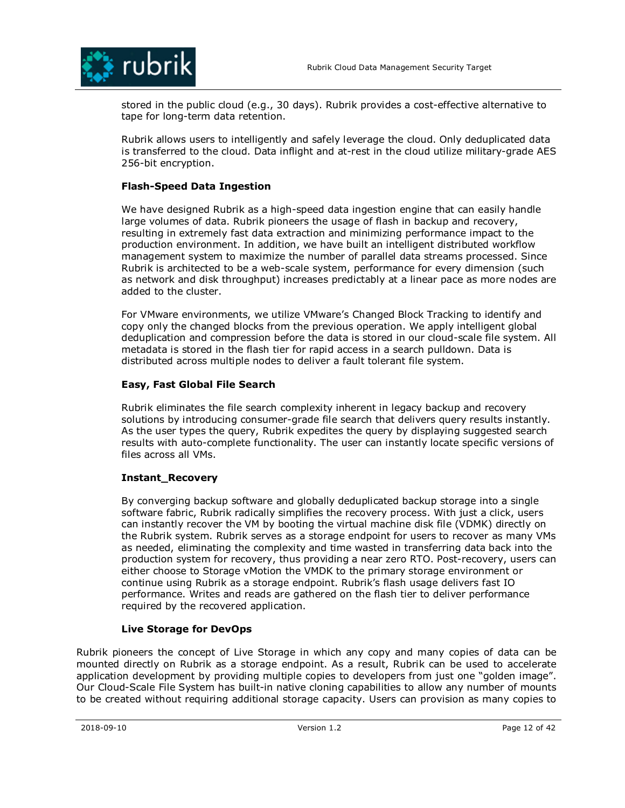

stored in the public cloud (e.g., 30 days). Rubrik provides a cost-effective alternative to tape for long-term data retention.

Rubrik allows users to intelligently and safely leverage the cloud. Only deduplicated data is transferred to the cloud. Data inflight and at-rest in the cloud utilize military-grade AES 256-bit encryption.

### **Flash-Speed Data Ingestion**

We have designed Rubrik as a high-speed data ingestion engine that can easily handle large volumes of data. Rubrik pioneers the usage of flash in backup and recovery, resulting in extremely fast data extraction and minimizing performance impact to the production environment. In addition, we have built an intelligent distributed workflow management system to maximize the number of parallel data streams processed. Since Rubrik is architected to be a web-scale system, performance for every dimension (such as network and disk throughput) increases predictably at a linear pace as more nodes are added to the cluster.

For VMware environments, we utilize VMware's Changed Block Tracking to identify and copy only the changed blocks from the previous operation. We apply intelligent global deduplication and compression before the data is stored in our cloud-scale file system. All metadata is stored in the flash tier for rapid access in a search pulldown. Data is distributed across multiple nodes to deliver a fault tolerant file system.

### **Easy, Fast Global File Search**

Rubrik eliminates the file search complexity inherent in legacy backup and recovery solutions by introducing consumer-grade file search that delivers query results instantly. As the user types the query, Rubrik expedites the query by displaying suggested search results with auto-complete functionality. The user can instantly locate specific versions of files across all VMs.

### **Instant\_Recovery**

By converging backup software and globally deduplicated backup storage into a single software fabric, Rubrik radically simplifies the recovery process. With just a click, users can instantly recover the VM by booting the virtual machine disk file (VDMK) directly on the Rubrik system. Rubrik serves as a storage endpoint for users to recover as many VMs as needed, eliminating the complexity and time wasted in transferring data back into the production system for recovery, thus providing a near zero RTO. Post-recovery, users can either choose to Storage vMotion the VMDK to the primary storage environment or continue using Rubrik as a storage endpoint. Rubrik's flash usage delivers fast IO performance. Writes and reads are gathered on the flash tier to deliver performance required by the recovered application.

### **Live Storage for DevOps**

Rubrik pioneers the concept of Live Storage in which any copy and many copies of data can be mounted directly on Rubrik as a storage endpoint. As a result, Rubrik can be used to accelerate application development by providing multiple copies to developers from just one "golden image". Our Cloud-Scale File System has built-in native cloning capabilities to allow any number of mounts to be created without requiring additional storage capacity. Users can provision as many copies to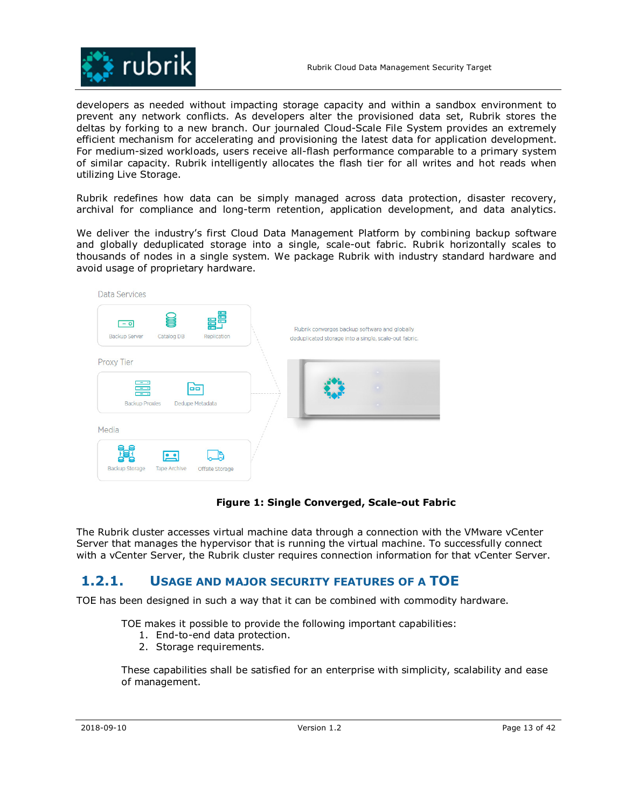

developers as needed without impacting storage capacity and within a sandbox environment to prevent any network conflicts. As developers alter the provisioned data set, Rubrik stores the deltas by forking to a new branch. Our journaled Cloud-Scale File System provides an extremely efficient mechanism for accelerating and provisioning the latest data for application development. For medium-sized workloads, users receive all-flash performance comparable to a primary system of similar capacity. Rubrik intelligently allocates the flash tier for all writes and hot reads when utilizing Live Storage.

Rubrik redefines how data can be simply managed across data protection, disaster recovery, archival for compliance and long-term retention, application development, and data analytics.

We deliver the industry's first Cloud Data Management Platform by combining backup software and globally deduplicated storage into a single, scale-out fabric. Rubrik horizontally scales to thousands of nodes in a single system. We package Rubrik with industry standard hardware and avoid usage of proprietary hardware.



### **Figure 1: Single Converged, Scale-out Fabric**

The Rubrik cluster accesses virtual machine data through a connection with the VMware vCenter Server that manages the hypervisor that is running the virtual machine. To successfully connect with a vCenter Server, the Rubrik cluster requires connection information for that vCenter Server.

## **1.2.1. USAGE AND MAJOR SECURITY FEATURES OF A TOE**

TOE has been designed in such a way that it can be combined with commodity hardware.

TOE makes it possible to provide the following important capabilities:

- 1. End-to-end data protection.
- 2. Storage requirements.

These capabilities shall be satisfied for an enterprise with simplicity, scalability and ease of management.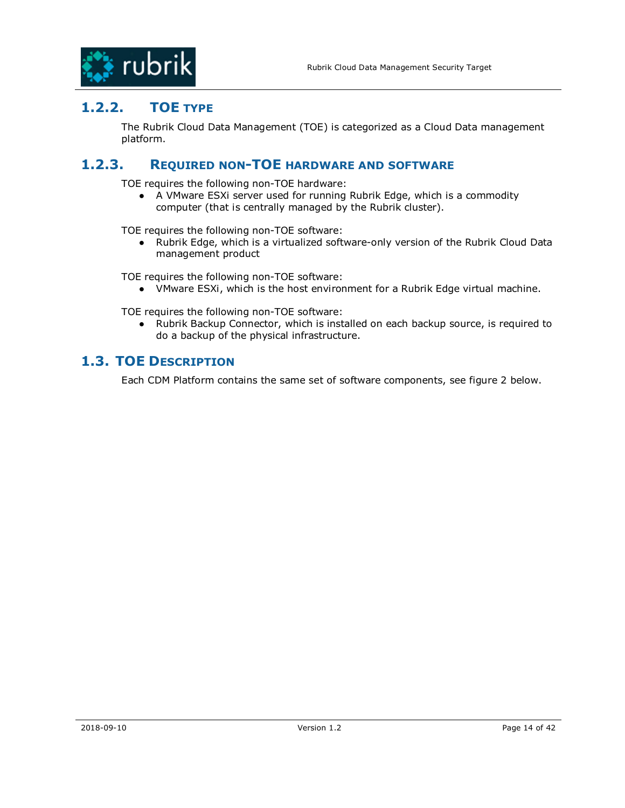

## **1.2.2. TOE TYPE**

The Rubrik Cloud Data Management (TOE) is categorized as a Cloud Data management platform.

## **1.2.3. REQUIRED NON-TOE HARDWARE AND SOFTWARE**

TOE requires the following non-TOE hardware:

● A VMware ESXi server used for running Rubrik Edge, which is a commodity computer (that is centrally managed by the Rubrik cluster).

TOE requires the following non-TOE software:

● Rubrik Edge, which is a virtualized software-only version of the Rubrik Cloud Data management product

TOE requires the following non-TOE software:

● VMware ESXi, which is the host environment for a Rubrik Edge virtual machine.

TOE requires the following non-TOE software:

● Rubrik Backup Connector, which is installed on each backup source, is required to do a backup of the physical infrastructure.

## **1.3. TOE DESCRIPTION**

Each CDM Platform contains the same set of software components, see figure 2 below.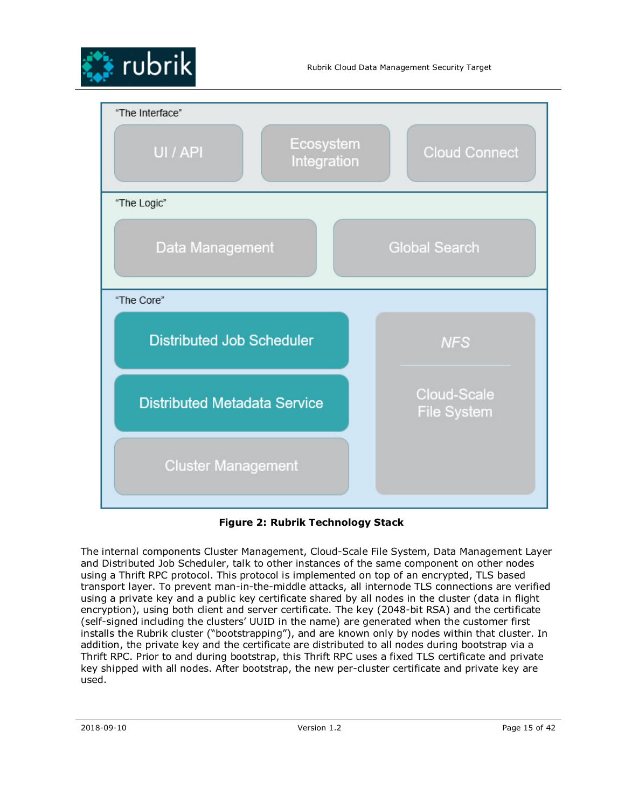



**Figure 2: Rubrik Technology Stack** 

The internal components Cluster Management, Cloud-Scale File System, Data Management Layer and Distributed Job Scheduler, talk to other instances of the same component on other nodes using a Thrift RPC protocol. This protocol is implemented on top of an encrypted, TLS based transport layer. To prevent man-in-the-middle attacks, all internode TLS connections are verified using a private key and a public key certificate shared by all nodes in the cluster (data in flight encryption), using both client and server certificate. The key (2048-bit RSA) and the certificate (self-signed including the clusters' UUID in the name) are generated when the customer first installs the Rubrik cluster ("bootstrapping"), and are known only by nodes within that cluster. In addition, the private key and the certificate are distributed to all nodes during bootstrap via a Thrift RPC. Prior to and during bootstrap, this Thrift RPC uses a fixed TLS certificate and private key shipped with all nodes. After bootstrap, the new per-cluster certificate and private key are used.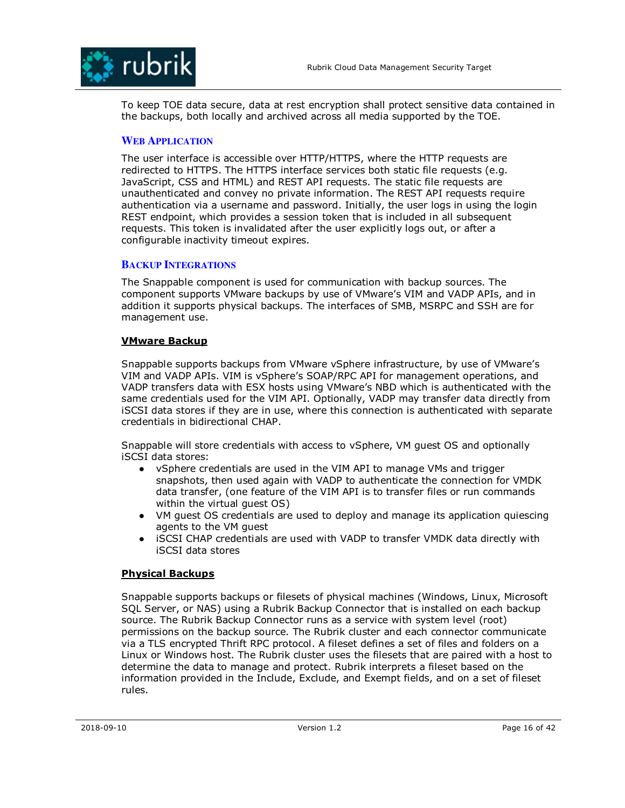

To keep TOE data secure, data at rest encryption shall protect sensitive data contained in the backups, both locally and archived across all media supported by the TOE.

### **WEB APPLICATION**

The user interface is accessible over HTTP/HTTPS, where the HTTP requests are redirected to HTTPS. The HTTPS interface services both static file requests (e.g. JavaScript, CSS and HTML) and REST API requests. The static file requests are unauthenticated and convey no private information. The REST API requests require authentication via a username and password. Initially, the user logs in using the login REST endpoint, which provides a session token that is included in all subsequent requests. This token is invalidated after the user explicitly logs out, or after a configurable inactivity timeout expires.

### **BACKUP INTEGRATIONS**

The Snappable component is used for communication with backup sources. The component supports VMware backups by use of VMware's VIM and VADP APIs, and in addition it supports physical backups. The interfaces of SMB, MSRPC and SSH are for management use.

### **VMware Backup**

Snappable supports backups from VMware vSphere infrastructure, by use of VMware's VIM and VADP APIs. VIM is vSphere's SOAP/RPC API for management operations, and VADP transfers data with ESX hosts using VMware's NBD which is authenticated with the same credentials used for the VIM API. Optionally, VADP may transfer data directly from iSCSI data stores if they are in use, where this connection is authenticated with separate credentials in bidirectional CHAP.

Snappable will store credentials with access to vSphere, VM guest OS and optionally iSCSI data stores:

- vSphere credentials are used in the VIM API to manage VMs and trigger snapshots, then used again with VADP to authenticate the connection for VMDK data transfer, (one feature of the VIM API is to transfer files or run commands within the virtual quest OS)
- VM guest OS credentials are used to deploy and manage its application quiescing agents to the VM guest
- iSCSI CHAP credentials are used with VADP to transfer VMDK data directly with iSCSI data stores

### **Physical Backups**

Snappable supports backups or filesets of physical machines (Windows, Linux, Microsoft SQL Server, or NAS) using a Rubrik Backup Connector that is installed on each backup source. The Rubrik Backup Connector runs as a service with system level (root) permissions on the backup source. The Rubrik cluster and each connector communicate via a TLS encrypted Thrift RPC protocol. A fileset defines a set of files and folders on a Linux or Windows host. The Rubrik cluster uses the filesets that are paired with a host to determine the data to manage and protect. Rubrik interprets a fileset based on the information provided in the Include, Exclude, and Exempt fields, and on a set of fileset rules.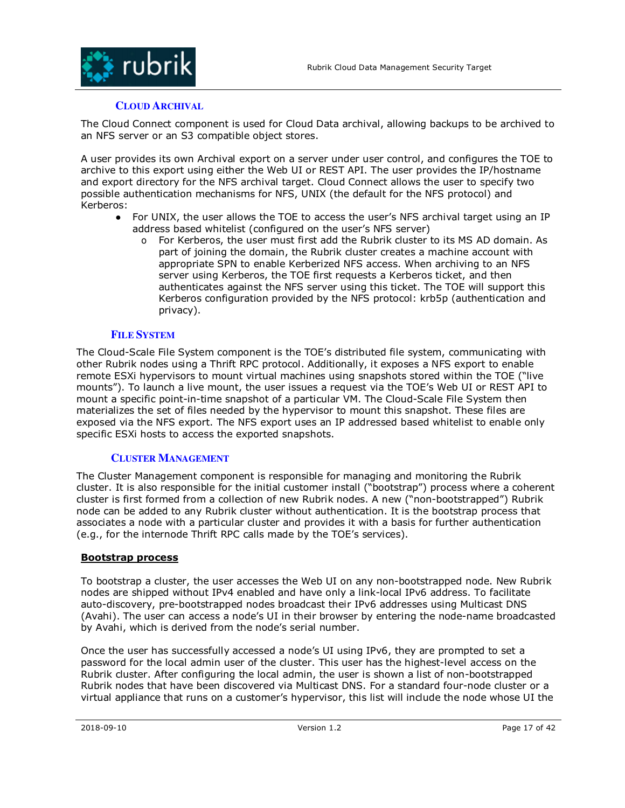

### **CLOUD ARCHIVAL**

The Cloud Connect component is used for Cloud Data archival, allowing backups to be archived to an NFS server or an S3 compatible object stores.

A user provides its own Archival export on a server under user control, and configures the TOE to archive to this export using either the Web UI or REST API. The user provides the IP/hostname and export directory for the NFS archival target. Cloud Connect allows the user to specify two possible authentication mechanisms for NFS, UNIX (the default for the NFS protocol) and Kerberos:

- For UNIX, the user allows the TOE to access the user's NFS archival target using an IP address based whitelist (configured on the user's NFS server)
	- o For Kerberos, the user must first add the Rubrik cluster to its MS AD domain. As part of joining the domain, the Rubrik cluster creates a machine account with appropriate SPN to enable Kerberized NFS access. When archiving to an NFS server using Kerberos, the TOE first requests a Kerberos ticket, and then authenticates against the NFS server using this ticket. The TOE will support this Kerberos configuration provided by the NFS protocol: krb5p (authentication and privacy).

### **FILE SYSTEM**

The Cloud-Scale File System component is the TOE's distributed file system, communicating with other Rubrik nodes using a Thrift RPC protocol. Additionally, it exposes a NFS export to enable remote ESXi hypervisors to mount virtual machines using snapshots stored within the TOE ("live mounts"). To launch a live mount, the user issues a request via the TOE's Web UI or REST API to mount a specific point-in-time snapshot of a particular VM. The Cloud-Scale File System then materializes the set of files needed by the hypervisor to mount this snapshot. These files are exposed via the NFS export. The NFS export uses an IP addressed based whitelist to enable only specific ESXi hosts to access the exported snapshots.

#### **CLUSTER MANAGEMENT**

The Cluster Management component is responsible for managing and monitoring the Rubrik cluster. It is also responsible for the initial customer install ("bootstrap") process where a coherent cluster is first formed from a collection of new Rubrik nodes. A new ("non-bootstrapped") Rubrik node can be added to any Rubrik cluster without authentication. It is the bootstrap process that associates a node with a particular cluster and provides it with a basis for further authentication (e.g., for the internode Thrift RPC calls made by the TOE's services).

#### **Bootstrap process**

To bootstrap a cluster, the user accesses the Web UI on any non-bootstrapped node. New Rubrik nodes are shipped without IPv4 enabled and have only a link-local IPv6 address. To facilitate auto-discovery, pre-bootstrapped nodes broadcast their IPv6 addresses using Multicast DNS (Avahi). The user can access a node's UI in their browser by entering the node-name broadcasted by Avahi, which is derived from the node's serial number.

Once the user has successfully accessed a node's UI using IPv6, they are prompted to set a password for the local admin user of the cluster. This user has the highest-level access on the Rubrik cluster. After configuring the local admin, the user is shown a list of non-bootstrapped Rubrik nodes that have been discovered via Multicast DNS. For a standard four-node cluster or a virtual appliance that runs on a customer's hypervisor, this list will include the node whose UI the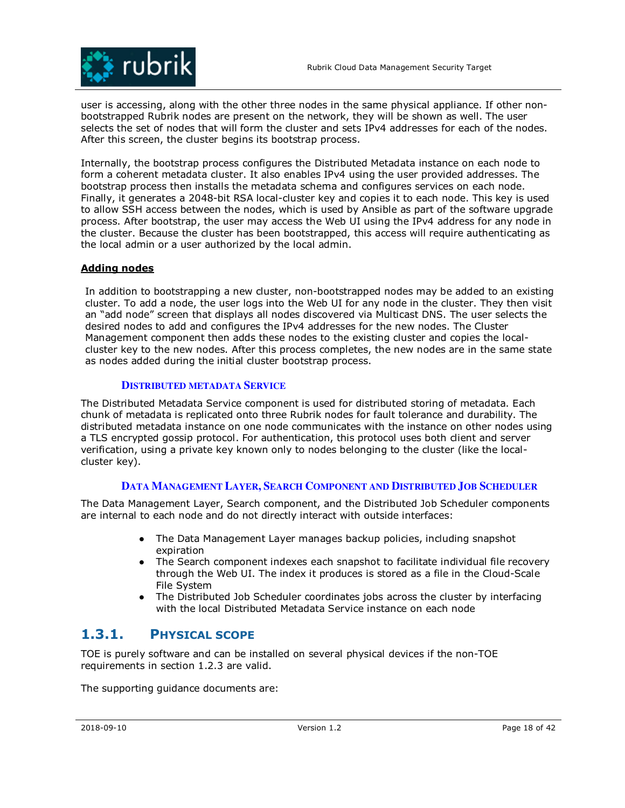

user is accessing, along with the other three nodes in the same physical appliance. If other nonbootstrapped Rubrik nodes are present on the network, they will be shown as well. The user selects the set of nodes that will form the cluster and sets IPv4 addresses for each of the nodes. After this screen, the cluster begins its bootstrap process.

Internally, the bootstrap process configures the Distributed Metadata instance on each node to form a coherent metadata cluster. It also enables IPv4 using the user provided addresses. The bootstrap process then installs the metadata schema and configures services on each node. Finally, it generates a 2048-bit RSA local-cluster key and copies it to each node. This key is used to allow SSH access between the nodes, which is used by Ansible as part of the software upgrade process. After bootstrap, the user may access the Web UI using the IPv4 address for any node in the cluster. Because the cluster has been bootstrapped, this access will require authenticating as the local admin or a user authorized by the local admin.

### **Adding nodes**

In addition to bootstrapping a new cluster, non-bootstrapped nodes may be added to an existing cluster. To add a node, the user logs into the Web UI for any node in the cluster. They then visit an "add node" screen that displays all nodes discovered via Multicast DNS. The user selects the desired nodes to add and configures the IPv4 addresses for the new nodes. The Cluster Management component then adds these nodes to the existing cluster and copies the localcluster key to the new nodes. After this process completes, the new nodes are in the same state as nodes added during the initial cluster bootstrap process.

### **DISTRIBUTED METADATA SERVICE**

The Distributed Metadata Service component is used for distributed storing of metadata. Each chunk of metadata is replicated onto three Rubrik nodes for fault tolerance and durability. The distributed metadata instance on one node communicates with the instance on other nodes using a TLS encrypted gossip protocol. For authentication, this protocol uses both client and server verification, using a private key known only to nodes belonging to the cluster (like the localcluster key).

### **DATA MANAGEMENT LAYER, SEARCH COMPONENT AND DISTRIBUTED JOB SCHEDULER**

The Data Management Layer, Search component, and the Distributed Job Scheduler components are internal to each node and do not directly interact with outside interfaces:

- The Data Management Layer manages backup policies, including snapshot expiration
- The Search component indexes each snapshot to facilitate individual file recovery through the Web UI. The index it produces is stored as a file in the Cloud-Scale File System
- The Distributed Job Scheduler coordinates jobs across the cluster by interfacing with the local Distributed Metadata Service instance on each node

## **1.3.1. PHYSICAL SCOPE**

TOE is purely software and can be installed on several physical devices if the non-TOE requirements in section 1.2.3 are valid.

The supporting guidance documents are: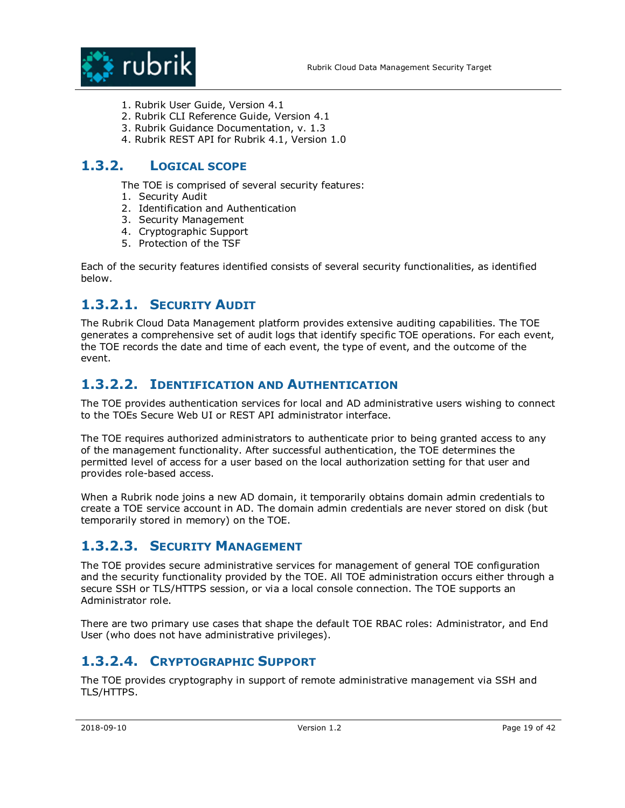

- 1. Rubrik User Guide, Version 4.1
- 2. Rubrik CLI Reference Guide, Version 4.1
- 3. Rubrik Guidance Documentation, v. 1.3
- 4. Rubrik REST API for Rubrik 4.1, Version 1.0

## **1.3.2. LOGICAL SCOPE**

The TOE is comprised of several security features:

- 1. Security Audit
- 2. Identification and Authentication
- 3. Security Management
- 4. Cryptographic Support
- 5. Protection of the TSF

Each of the security features identified consists of several security functionalities, as identified below.

## **1.3.2.1. SECURITY AUDIT**

The Rubrik Cloud Data Management platform provides extensive auditing capabilities. The TOE generates a comprehensive set of audit logs that identify specific TOE operations. For each event, the TOE records the date and time of each event, the type of event, and the outcome of the event.

## **1.3.2.2. IDENTIFICATION AND AUTHENTICATION**

The TOE provides authentication services for local and AD administrative users wishing to connect to the TOEs Secure Web UI or REST API administrator interface.

The TOE requires authorized administrators to authenticate prior to being granted access to any of the management functionality. After successful authentication, the TOE determines the permitted level of access for a user based on the local authorization setting for that user and provides role-based access.

When a Rubrik node joins a new AD domain, it temporarily obtains domain admin credentials to create a TOE service account in AD. The domain admin credentials are never stored on disk (but temporarily stored in memory) on the TOE.

## **1.3.2.3. SECURITY MANAGEMENT**

The TOE provides secure administrative services for management of general TOE configuration and the security functionality provided by the TOE. All TOE administration occurs either through a secure SSH or TLS/HTTPS session, or via a local console connection. The TOE supports an Administrator role.

There are two primary use cases that shape the default TOE RBAC roles: Administrator, and End User (who does not have administrative privileges).

# **1.3.2.4. CRYPTOGRAPHIC SUPPORT**

The TOE provides cryptography in support of remote administrative management via SSH and TLS/HTTPS.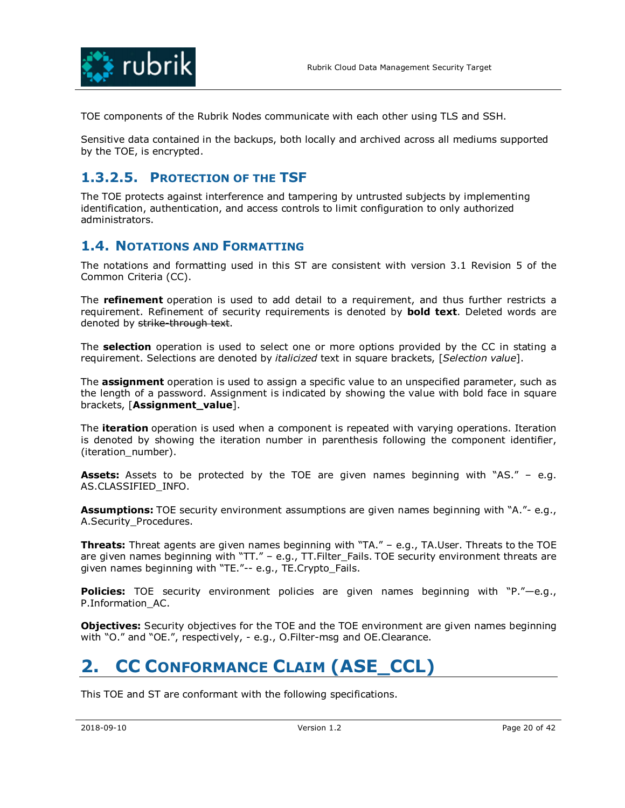

TOE components of the Rubrik Nodes communicate with each other using TLS and SSH.

Sensitive data contained in the backups, both locally and archived across all mediums supported by the TOE, is encrypted.

## **1.3.2.5. PROTECTION OF THE TSF**

The TOE protects against interference and tampering by untrusted subjects by implementing identification, authentication, and access controls to limit configuration to only authorized administrators.

## **1.4. NOTATIONS AND FORMATTING**

The notations and formatting used in this ST are consistent with version 3.1 Revision 5 of the Common Criteria (CC).

The **refinement** operation is used to add detail to a requirement, and thus further restricts a requirement. Refinement of security requirements is denoted by **bold text**. Deleted words are denoted by strike-through text.

The **selection** operation is used to select one or more options provided by the CC in stating a requirement. Selections are denoted by *italicized* text in square brackets, [*Selection value*].

The **assignment** operation is used to assign a specific value to an unspecified parameter, such as the length of a password. Assignment is indicated by showing the value with bold face in square brackets, [**Assignment\_value**].

The **iteration** operation is used when a component is repeated with varying operations. Iteration is denoted by showing the iteration number in parenthesis following the component identifier, (iteration\_number).

**Assets:** Assets to be protected by the TOE are given names beginning with "AS." – e.g. AS.CLASSIFIED\_INFO.

**Assumptions:** TOE security environment assumptions are given names beginning with "A."- e.g., A.Security\_Procedures.

**Threats:** Threat agents are given names beginning with "TA." – e.g., TA.User. Threats to the TOE are given names beginning with " $TT$ ." – e.g.,  $TT$ . Filter Fails. TOE security environment threats are given names beginning with "TE."-- e.g., TE.Crypto\_Fails.

**Policies:** TOE security environment policies are given names beginning with "P."—e.g., P.Information\_AC.

**Objectives:** Security objectives for the TOE and the TOE environment are given names beginning with "O." and "OE.", respectively, - e.g., O.Filter-msg and OE.Clearance.

# **2. CC CONFORMANCE CLAIM (ASE\_CCL)**

This TOE and ST are conformant with the following specifications.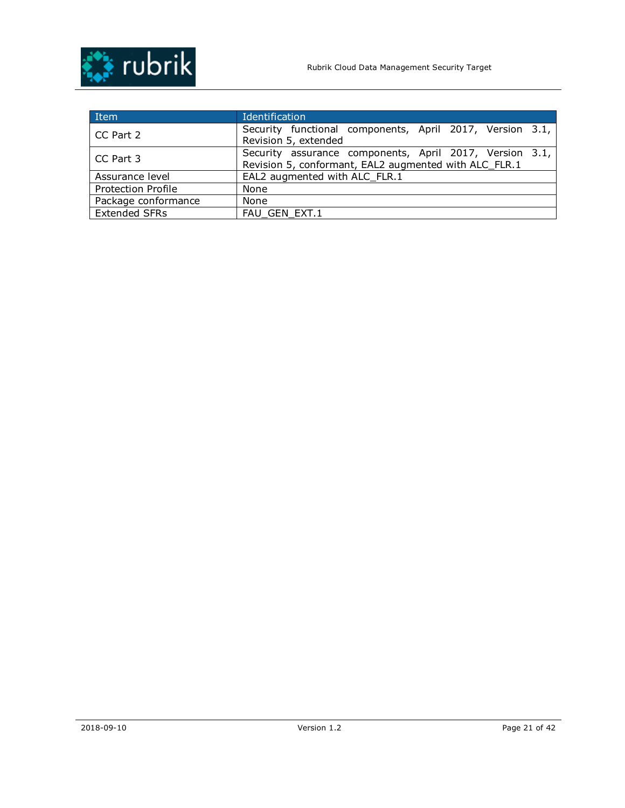

| Item                      | Identification                                                                                                   |
|---------------------------|------------------------------------------------------------------------------------------------------------------|
| CC Part 2                 | Security functional components, April 2017, Version 3.1,<br>Revision 5, extended                                 |
| CC Part 3                 | Security assurance components, April 2017, Version 3.1,<br>Revision 5, conformant, EAL2 augmented with ALC FLR.1 |
| Assurance level           | EAL2 augmented with ALC FLR.1                                                                                    |
| <b>Protection Profile</b> | None                                                                                                             |
| Package conformance       | <b>None</b>                                                                                                      |
| <b>Extended SFRs</b>      | FAU GEN EXT.1                                                                                                    |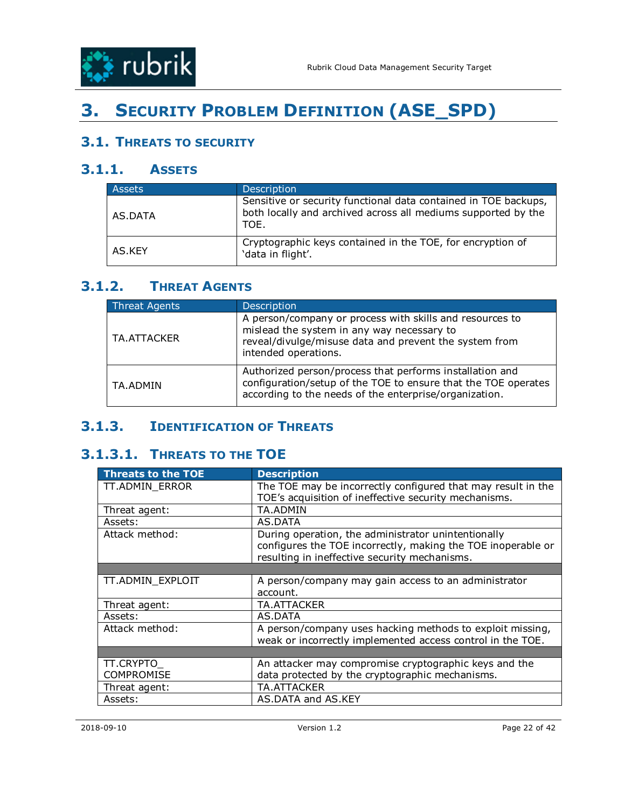

# **3. SECURITY PROBLEM DEFINITION (ASE\_SPD)**

# **3.1. THREATS TO SECURITY**

# **3.1.1. ASSETS**

| <b>Assets</b> | Description                                                                                                                              |
|---------------|------------------------------------------------------------------------------------------------------------------------------------------|
| AS.DATA       | Sensitive or security functional data contained in TOE backups,<br>both locally and archived across all mediums supported by the<br>TOE. |
| AS.KFY        | Cryptographic keys contained in the TOE, for encryption of<br>'data in flight'.                                                          |

# **3.1.2. THREAT AGENTS**

| <b>Threat Agents</b> | <b>Description</b>                                                                                                                                                                       |
|----------------------|------------------------------------------------------------------------------------------------------------------------------------------------------------------------------------------|
| TA.ATTACKER          | A person/company or process with skills and resources to<br>mislead the system in any way necessary to<br>reveal/divulge/misuse data and prevent the system from<br>intended operations. |
| TA.ADMIN             | Authorized person/process that performs installation and<br>configuration/setup of the TOE to ensure that the TOE operates<br>according to the needs of the enterprise/organization.     |

# **3.1.3. IDENTIFICATION OF THREATS**

# **3.1.3.1. THREATS TO THE TOE**

| <b>Threats to the TOE</b> | <b>Description</b>                                           |
|---------------------------|--------------------------------------------------------------|
| TT.ADMIN_ERROR            | The TOE may be incorrectly configured that may result in the |
|                           | TOE's acquisition of ineffective security mechanisms.        |
| Threat agent:             | TA.ADMIN                                                     |
| Assets:                   | AS.DATA                                                      |
| Attack method:            | During operation, the administrator unintentionally          |
|                           | configures the TOE incorrectly, making the TOE inoperable or |
|                           | resulting in ineffective security mechanisms.                |
|                           |                                                              |
| TT.ADMIN_EXPLOIT          | A person/company may gain access to an administrator         |
|                           | account.                                                     |
| Threat agent:             | TA.ATTACKER                                                  |
| Assets:                   | AS.DATA                                                      |
| Attack method:            | A person/company uses hacking methods to exploit missing,    |
|                           | weak or incorrectly implemented access control in the TOE.   |
|                           |                                                              |
| TT.CRYPTO_                | An attacker may compromise cryptographic keys and the        |
| <b>COMPROMISE</b>         | data protected by the cryptographic mechanisms.              |
| Threat agent:             | TA.ATTACKER                                                  |
| Assets:                   | AS.DATA and AS.KEY                                           |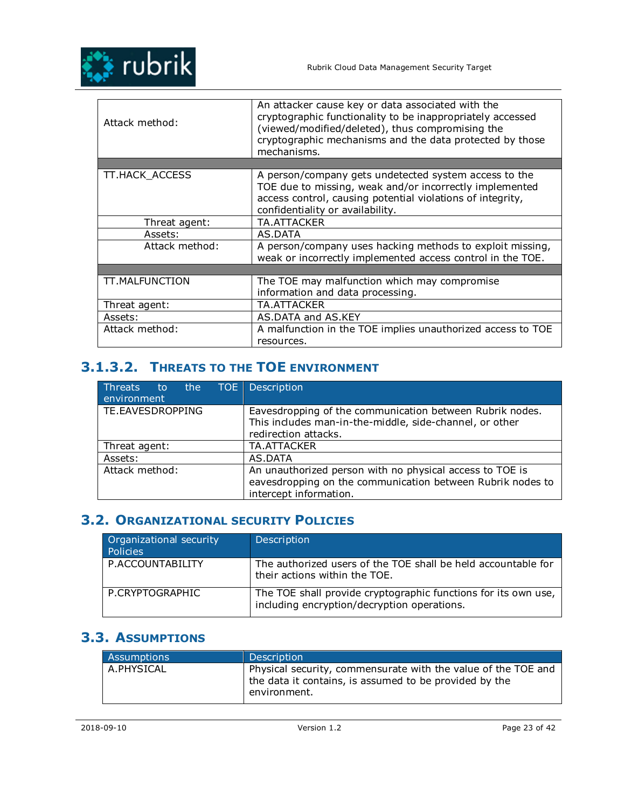

| Attack method: | An attacker cause key or data associated with the<br>cryptographic functionality to be inappropriately accessed<br>(viewed/modified/deleted), thus compromising the<br>cryptographic mechanisms and the data protected by those<br>mechanisms. |
|----------------|------------------------------------------------------------------------------------------------------------------------------------------------------------------------------------------------------------------------------------------------|
|                |                                                                                                                                                                                                                                                |
| TT.HACK_ACCESS | A person/company gets undetected system access to the<br>TOE due to missing, weak and/or incorrectly implemented<br>access control, causing potential violations of integrity,<br>confidentiality or availability.                             |
| Threat agent:  | TA.ATTACKER                                                                                                                                                                                                                                    |
| Assets:        | AS.DATA                                                                                                                                                                                                                                        |
| Attack method: | A person/company uses hacking methods to exploit missing,<br>weak or incorrectly implemented access control in the TOE.                                                                                                                        |
|                |                                                                                                                                                                                                                                                |
| TT.MALFUNCTION | The TOE may malfunction which may compromise<br>information and data processing.                                                                                                                                                               |
| Threat agent:  | TA.ATTACKER                                                                                                                                                                                                                                    |
| Assets:        | AS.DATA and AS.KEY                                                                                                                                                                                                                             |
| Attack method: | A malfunction in the TOE implies unauthorized access to TOE<br>resources.                                                                                                                                                                      |

# **3.1.3.2. THREATS TO THE TOE ENVIRONMENT**

| Threats to the TOE Description<br>environment |                                                                                                                                                  |
|-----------------------------------------------|--------------------------------------------------------------------------------------------------------------------------------------------------|
| TE.EAVESDROPPING                              | Eavesdropping of the communication between Rubrik nodes.<br>This includes man-in-the-middle, side-channel, or other<br>redirection attacks.      |
| Threat agent:                                 | <b>TA.ATTACKER</b>                                                                                                                               |
| Assets:                                       | AS.DATA                                                                                                                                          |
| Attack method:                                | An unauthorized person with no physical access to TOE is<br>eavesdropping on the communication between Rubrik nodes to<br>intercept information. |

## **3.2. ORGANIZATIONAL SECURITY POLICIES**

| Organizational security<br>Policies | Description                                                                                                   |
|-------------------------------------|---------------------------------------------------------------------------------------------------------------|
| P.ACCOUNTABILITY                    | The authorized users of the TOE shall be held accountable for<br>their actions within the TOE.                |
| P.CRYPTOGRAPHIC                     | The TOE shall provide cryptographic functions for its own use,<br>including encryption/decryption operations. |

## **3.3. ASSUMPTIONS**

| Assumptions | <b>Description</b>                                                                                                                      |
|-------------|-----------------------------------------------------------------------------------------------------------------------------------------|
| A.PHYSICAL  | Physical security, commensurate with the value of the TOE and<br>the data it contains, is assumed to be provided by the<br>environment. |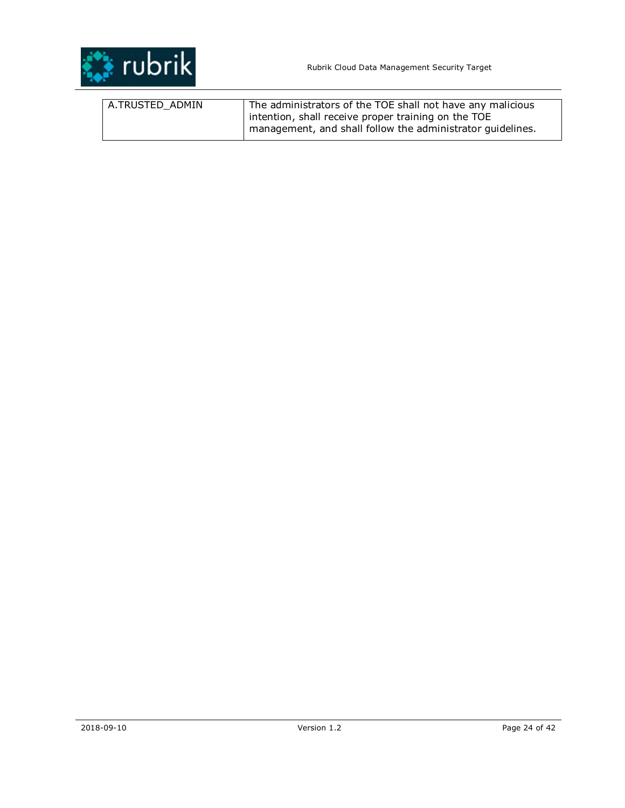

| A.TRUSTED ADMIN | The administrators of the TOE shall not have any malicious |
|-----------------|------------------------------------------------------------|
|                 | intention, shall receive proper training on the TOE        |
|                 | management, and shall follow the administrator quidelines. |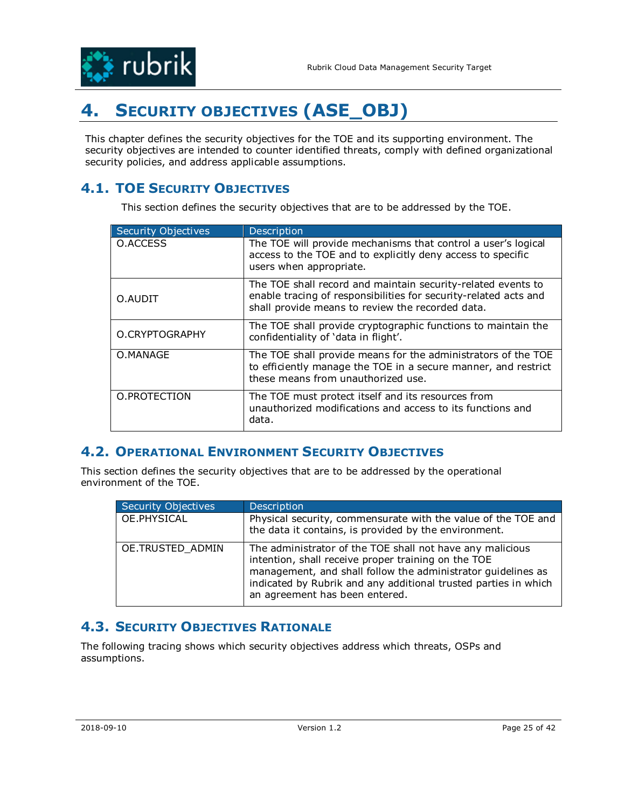

# **4. SECURITY OBJECTIVES (ASE\_OBJ)**

This chapter defines the security objectives for the TOE and its supporting environment. The security objectives are intended to counter identified threats, comply with defined organizational security policies, and address applicable assumptions.

# **4.1. TOE SECURITY OBJECTIVES**

This section defines the security objectives that are to be addressed by the TOE.

| Security Objectives | Description                                                                                                                                                                          |
|---------------------|--------------------------------------------------------------------------------------------------------------------------------------------------------------------------------------|
| O.ACCESS            | The TOE will provide mechanisms that control a user's logical<br>access to the TOE and to explicitly deny access to specific<br>users when appropriate.                              |
| O.AUDIT             | The TOE shall record and maintain security-related events to<br>enable tracing of responsibilities for security-related acts and<br>shall provide means to review the recorded data. |
| O.CRYPTOGRAPHY      | The TOE shall provide cryptographic functions to maintain the<br>confidentiality of 'data in flight'.                                                                                |
| O.MANAGE            | The TOE shall provide means for the administrators of the TOE<br>to efficiently manage the TOE in a secure manner, and restrict<br>these means from unauthorized use.                |
| O.PROTECTION        | The TOE must protect itself and its resources from<br>unauthorized modifications and access to its functions and<br>data.                                                            |

## **4.2. OPERATIONAL ENVIRONMENT SECURITY OBJECTIVES**

This section defines the security objectives that are to be addressed by the operational environment of the TOE.

| <b>Security Objectives</b> | Description                                                                                                                                                                                                                                                                           |
|----------------------------|---------------------------------------------------------------------------------------------------------------------------------------------------------------------------------------------------------------------------------------------------------------------------------------|
| OE.PHYSICAL                | Physical security, commensurate with the value of the TOE and<br>the data it contains, is provided by the environment.                                                                                                                                                                |
| OE.TRUSTED_ADMIN           | The administrator of the TOE shall not have any malicious<br>intention, shall receive proper training on the TOE<br>management, and shall follow the administrator guidelines as<br>indicated by Rubrik and any additional trusted parties in which<br>an agreement has been entered. |

## **4.3. SECURITY OBJECTIVES RATIONALE**

The following tracing shows which security objectives address which threats, OSPs and assumptions.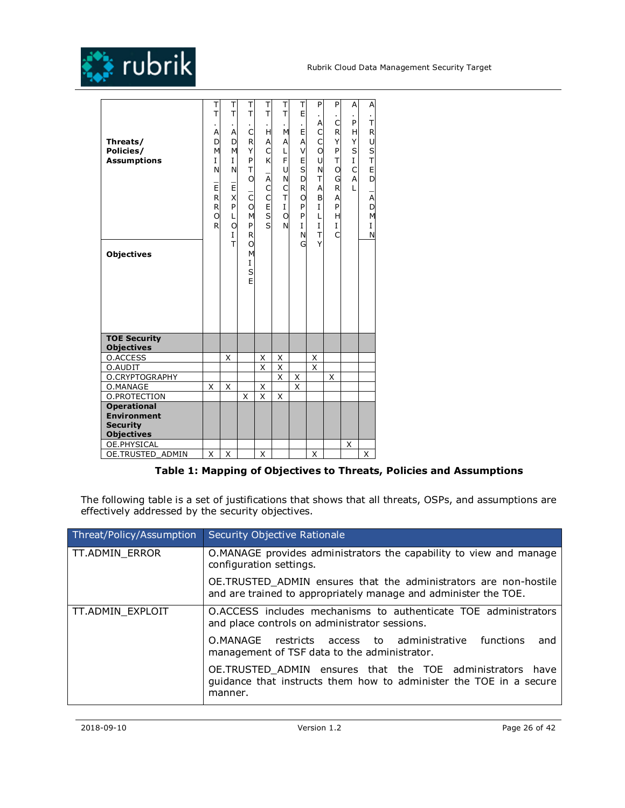

| Threats/<br>Policies/<br><b>Assumptions</b><br><b>Objectives</b>                 | Т<br>T<br>ä,<br>A<br>D<br>M<br>I<br>N<br>$\bar{E}$<br>R<br>R<br>O<br>R | Τ<br>T<br>×.<br>A<br>D<br>M<br>I<br>N<br>P X TI<br>L<br>O<br>$\overline{I}$<br>$\bar{1}$ | Τ<br>T<br>ä,<br>C<br>R<br>Υ<br>P<br>T<br>O<br>$\bar{c}$<br>O<br>M<br>P<br>R<br>O<br>M<br>I<br>S<br>Ė | Т<br>T<br>ä,<br>H<br>A<br>C<br>K<br>$\overline{\overline{A}}$<br>C<br>C<br>5S | Τ<br>T<br>M<br>А<br>L<br>F<br>U<br>N<br>$\frac{C}{T}$<br>$\mathbf{I}$<br>$\circ$<br>N | Т<br>E<br>×.<br>E<br>A<br>V<br>E<br>$\mathsf{s}$<br>D<br>R<br>O<br>P<br>P<br>I<br>N<br>G | P<br>٠<br>Α<br>$\mathsf{C}$<br>$\mathsf{C}$<br>$\circ$<br>U<br>N<br>T<br>A<br>B<br>$\mathbf{I}$<br>L<br>I<br>T<br>Y | P<br>C<br>R<br>Y<br>P<br>T<br>O<br>G<br>R<br>A<br>P<br>Η<br>$\mathbf{I}$<br>Ċ | A<br>×.<br>P<br>H<br>Υ<br>S<br>I<br>C<br>Α<br>L | Α<br>¥.<br>T<br>$\mathsf{R}$<br>D H H O C<br>A<br>D<br>M<br>I<br>N |
|----------------------------------------------------------------------------------|------------------------------------------------------------------------|------------------------------------------------------------------------------------------|------------------------------------------------------------------------------------------------------|-------------------------------------------------------------------------------|---------------------------------------------------------------------------------------|------------------------------------------------------------------------------------------|---------------------------------------------------------------------------------------------------------------------|-------------------------------------------------------------------------------|-------------------------------------------------|--------------------------------------------------------------------|
| <b>TOE Security</b><br><b>Objectives</b>                                         |                                                                        |                                                                                          |                                                                                                      |                                                                               |                                                                                       |                                                                                          |                                                                                                                     |                                                                               |                                                 |                                                                    |
| <b>O.ACCESS</b>                                                                  |                                                                        | X                                                                                        |                                                                                                      | Χ                                                                             | Χ                                                                                     |                                                                                          | Χ                                                                                                                   |                                                                               |                                                 |                                                                    |
| O.AUDIT                                                                          |                                                                        |                                                                                          |                                                                                                      | X                                                                             | Χ                                                                                     |                                                                                          | X                                                                                                                   |                                                                               |                                                 |                                                                    |
| O.CRYPTOGRAPHY                                                                   |                                                                        |                                                                                          |                                                                                                      |                                                                               | X                                                                                     | X                                                                                        |                                                                                                                     | Χ                                                                             |                                                 |                                                                    |
| O.MANAGE                                                                         | Χ                                                                      | Χ                                                                                        |                                                                                                      | Χ                                                                             |                                                                                       | X                                                                                        |                                                                                                                     |                                                                               |                                                 |                                                                    |
| O.PROTECTION                                                                     |                                                                        |                                                                                          | X                                                                                                    | X                                                                             | X                                                                                     |                                                                                          |                                                                                                                     |                                                                               |                                                 |                                                                    |
| <b>Operational</b><br><b>Environment</b><br><b>Security</b><br><b>Objectives</b> |                                                                        |                                                                                          |                                                                                                      |                                                                               |                                                                                       |                                                                                          |                                                                                                                     |                                                                               |                                                 |                                                                    |
| OE.PHYSICAL                                                                      |                                                                        |                                                                                          |                                                                                                      |                                                                               |                                                                                       |                                                                                          |                                                                                                                     |                                                                               | Χ                                               |                                                                    |
| OE.TRUSTED_ADMIN                                                                 | Χ                                                                      | Χ                                                                                        |                                                                                                      | Χ                                                                             |                                                                                       |                                                                                          | Χ                                                                                                                   |                                                                               |                                                 | Χ                                                                  |

### **Table 1: Mapping of Objectives to Threats, Policies and Assumptions**

The following table is a set of justifications that shows that all threats, OSPs, and assumptions are effectively addressed by the security objectives.

| Threat/Policy/Assumption | Security Objective Rationale                                                                                                               |  |  |  |  |  |  |  |  |
|--------------------------|--------------------------------------------------------------------------------------------------------------------------------------------|--|--|--|--|--|--|--|--|
| TT.ADMIN_ERROR           | O.MANAGE provides administrators the capability to view and manage<br>configuration settings.                                              |  |  |  |  |  |  |  |  |
|                          | OE.TRUSTED_ADMIN ensures that the administrators are non-hostile<br>and are trained to appropriately manage and administer the TOE.        |  |  |  |  |  |  |  |  |
| TT.ADMIN EXPLOIT         | O.ACCESS includes mechanisms to authenticate TOE administrators<br>and place controls on administrator sessions.                           |  |  |  |  |  |  |  |  |
|                          | O.MANAGE restricts access to administrative<br>functions<br>and<br>management of TSF data to the administrator.                            |  |  |  |  |  |  |  |  |
|                          | OE.TRUSTED ADMIN ensures that the TOE administrators have<br>guidance that instructs them how to administer the TOE in a secure<br>manner. |  |  |  |  |  |  |  |  |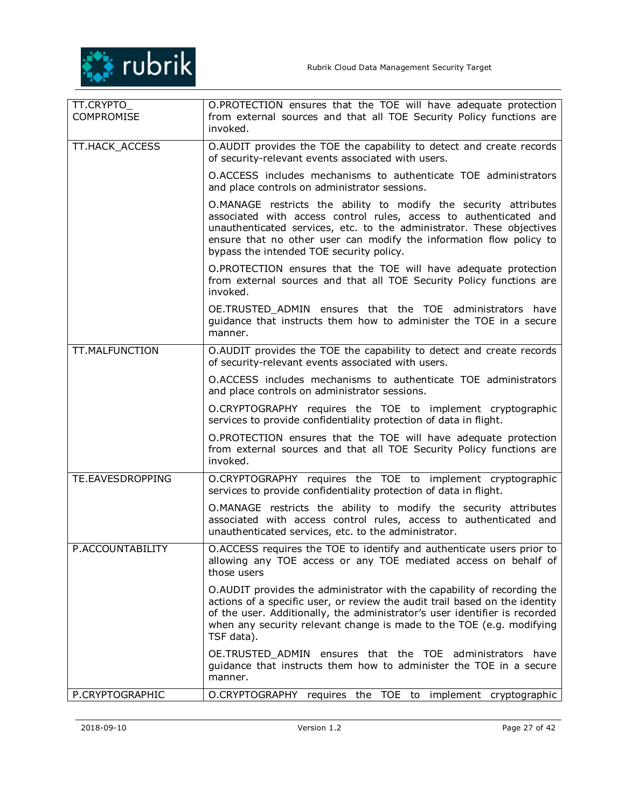

| TT.CRYPTO_<br>COMPROMISE | O.PROTECTION ensures that the TOE will have adequate protection<br>from external sources and that all TOE Security Policy functions are<br>invoked.                                                                                                                                                                               |
|--------------------------|-----------------------------------------------------------------------------------------------------------------------------------------------------------------------------------------------------------------------------------------------------------------------------------------------------------------------------------|
| TT.HACK_ACCESS           | O.AUDIT provides the TOE the capability to detect and create records<br>of security-relevant events associated with users.                                                                                                                                                                                                        |
|                          | O.ACCESS includes mechanisms to authenticate TOE administrators<br>and place controls on administrator sessions.                                                                                                                                                                                                                  |
|                          | O.MANAGE restricts the ability to modify the security attributes<br>associated with access control rules, access to authenticated and<br>unauthenticated services, etc. to the administrator. These objectives<br>ensure that no other user can modify the information flow policy to<br>bypass the intended TOE security policy. |
|                          | O.PROTECTION ensures that the TOE will have adequate protection<br>from external sources and that all TOE Security Policy functions are<br>invoked.                                                                                                                                                                               |
|                          | OE.TRUSTED_ADMIN ensures that the TOE administrators have<br>guidance that instructs them how to administer the TOE in a secure<br>manner.                                                                                                                                                                                        |
| TT.MALFUNCTION           | O.AUDIT provides the TOE the capability to detect and create records<br>of security-relevant events associated with users.                                                                                                                                                                                                        |
|                          | O.ACCESS includes mechanisms to authenticate TOE administrators<br>and place controls on administrator sessions.                                                                                                                                                                                                                  |
|                          | O.CRYPTOGRAPHY requires the TOE to implement cryptographic<br>services to provide confidentiality protection of data in flight.                                                                                                                                                                                                   |
|                          | O.PROTECTION ensures that the TOE will have adequate protection<br>from external sources and that all TOE Security Policy functions are<br>invoked.                                                                                                                                                                               |
| TE.EAVESDROPPING         | O.CRYPTOGRAPHY requires the TOE to implement cryptographic<br>services to provide confidentiality protection of data in flight.                                                                                                                                                                                                   |
|                          | O.MANAGE restricts the ability to modify the security attributes<br>associated with access control rules, access to authenticated and<br>unauthenticated services, etc. to the administrator.                                                                                                                                     |
| P.ACCOUNTABILITY         | O.ACCESS requires the TOE to identify and authenticate users prior to<br>allowing any TOE access or any TOE mediated access on behalf of<br>those users                                                                                                                                                                           |
|                          | O.AUDIT provides the administrator with the capability of recording the<br>actions of a specific user, or review the audit trail based on the identity<br>of the user. Additionally, the administrator's user identifier is recorded<br>when any security relevant change is made to the TOE (e.g. modifying<br>TSF data).        |
|                          | OE.TRUSTED_ADMIN ensures that the TOE administrators have<br>quidance that instructs them how to administer the TOE in a secure<br>manner.                                                                                                                                                                                        |
| P.CRYPTOGRAPHIC          | O.CRYPTOGRAPHY<br>requires the TOE to implement cryptographic                                                                                                                                                                                                                                                                     |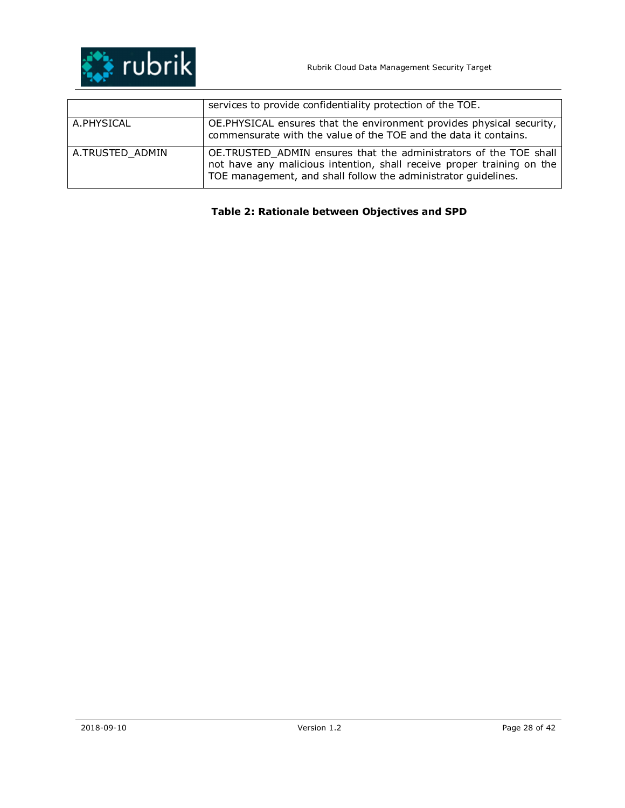

|                 | services to provide confidentiality protection of the TOE.                                                                                                                                                    |
|-----------------|---------------------------------------------------------------------------------------------------------------------------------------------------------------------------------------------------------------|
| A.PHYSICAL      | OE.PHYSICAL ensures that the environment provides physical security,<br>commensurate with the value of the TOE and the data it contains.                                                                      |
| A.TRUSTED ADMIN | OE.TRUSTED_ADMIN ensures that the administrators of the TOE shall<br>not have any malicious intention, shall receive proper training on the<br>TOE management, and shall follow the administrator guidelines. |

## **Table 2: Rationale between Objectives and SPD**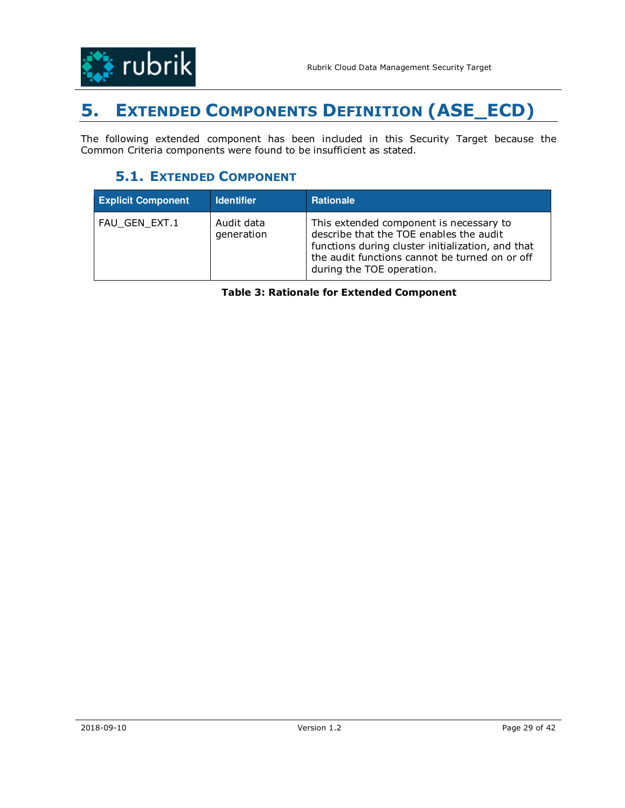

# **5. EXTENDED COMPONENTS DEFINITION (ASE\_ECD)**

The following extended component has been included in this Security Target because the Common Criteria components were found to be insufficient as stated.

# **5.1. EXTENDED COMPONENT**

| <b>Explicit Component</b> | <b>Identifier</b>        | <b>Rationale</b>                                                                                                                                                                                                       |
|---------------------------|--------------------------|------------------------------------------------------------------------------------------------------------------------------------------------------------------------------------------------------------------------|
| FAU GEN EXT.1             | Audit data<br>generation | This extended component is necessary to<br>describe that the TOE enables the audit<br>functions during cluster initialization, and that<br>the audit functions cannot be turned on or off<br>during the TOE operation. |

**Table 3: Rationale for Extended Component**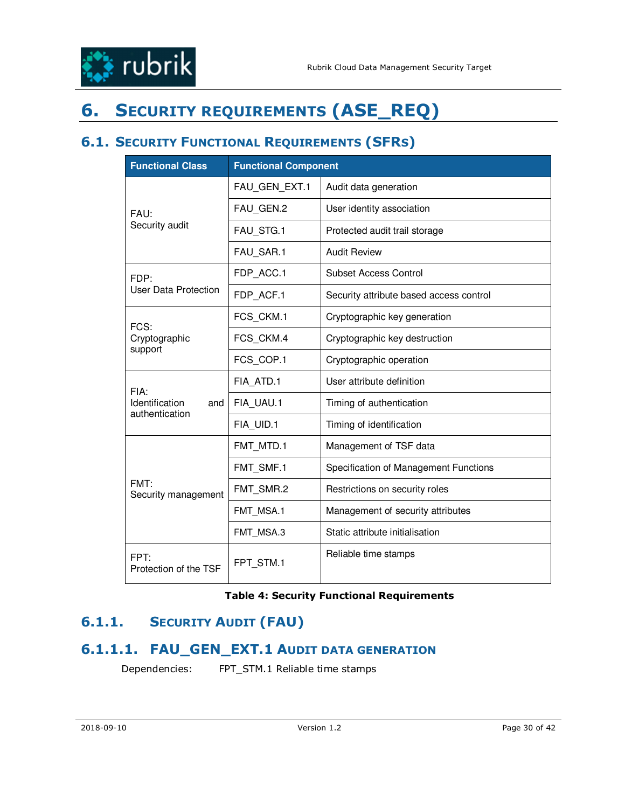

# **6. SECURITY REQUIREMENTS (ASE\_REQ)**

# **6.1. SECURITY FUNCTIONAL REQUIREMENTS (SFRS)**

| <b>Functional Class</b>                 | <b>Functional Component</b> |                                         |  |  |  |  |  |  |
|-----------------------------------------|-----------------------------|-----------------------------------------|--|--|--|--|--|--|
|                                         | FAU GEN EXT.1               | Audit data generation                   |  |  |  |  |  |  |
| FAU:                                    | FAU_GEN.2                   | User identity association               |  |  |  |  |  |  |
| Security audit                          | FAU STG.1                   | Protected audit trail storage           |  |  |  |  |  |  |
|                                         | FAU SAR.1                   | <b>Audit Review</b>                     |  |  |  |  |  |  |
| FDP:                                    | FDP ACC.1                   | <b>Subset Access Control</b>            |  |  |  |  |  |  |
| <b>User Data Protection</b>             | FDP_ACF.1                   | Security attribute based access control |  |  |  |  |  |  |
| FCS:                                    | FCS_CKM.1                   | Cryptographic key generation            |  |  |  |  |  |  |
| Cryptographic                           | FCS CKM.4                   | Cryptographic key destruction           |  |  |  |  |  |  |
| support                                 | FCS COP.1                   | Cryptographic operation                 |  |  |  |  |  |  |
| FIA:                                    | FIA ATD.1                   | User attribute definition               |  |  |  |  |  |  |
| Identification<br>and<br>authentication | FIA_UAU.1                   | Timing of authentication                |  |  |  |  |  |  |
|                                         | FIA UID.1                   | Timing of identification                |  |  |  |  |  |  |
|                                         | FMT MTD.1                   | Management of TSF data                  |  |  |  |  |  |  |
|                                         | FMT SMF.1                   | Specification of Management Functions   |  |  |  |  |  |  |
| FMT:<br>Security management             | FMT SMR.2                   | Restrictions on security roles          |  |  |  |  |  |  |
|                                         | FMT_MSA.1                   | Management of security attributes       |  |  |  |  |  |  |
|                                         | FMT MSA.3                   | Static attribute initialisation         |  |  |  |  |  |  |
| FPT·<br>Protection of the TSF           | FPT_STM.1                   | Reliable time stamps                    |  |  |  |  |  |  |

### **Table 4: Security Functional Requirements**

# **6.1.1. SECURITY AUDIT (FAU)**

## **6.1.1.1. FAU\_GEN\_EXT.1 AUDIT DATA GENERATION**

Dependencies: FPT\_STM.1 Reliable time stamps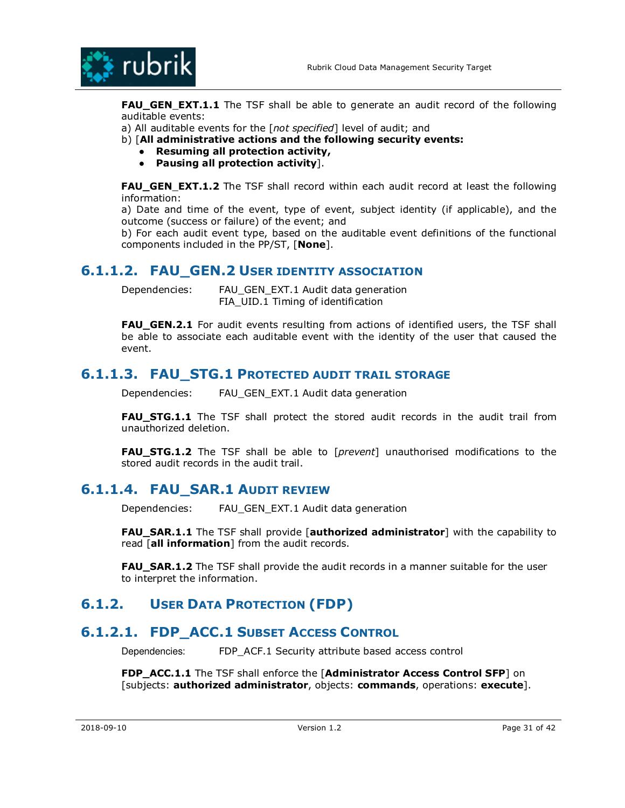

**FAU\_GEN EXT.1.1** The TSF shall be able to generate an audit record of the following auditable events:

a) All auditable events for the [*not specified*] level of audit; and

b) [**All administrative actions and the following security events:** 

- **Resuming all protection activity,**
- **Pausing all protection activity**].

**FAU GEN EXT.1.2** The TSF shall record within each audit record at least the following information:

a) Date and time of the event, type of event, subject identity (if applicable), and the outcome (success or failure) of the event; and

b) For each audit event type, based on the auditable event definitions of the functional components included in the PP/ST, [**None**].

## **6.1.1.2. FAU GEN.2 USER IDENTITY ASSOCIATION**

Dependencies: FAU\_GEN\_EXT.1 Audit data generation FIA\_UID.1 Timing of identification

**FAU\_GEN.2.1** For audit events resulting from actions of identified users, the TSF shall be able to associate each auditable event with the identity of the user that caused the event.

## **6.1.1.3. FAU\_STG.1 PROTECTED AUDIT TRAIL STORAGE**

Dependencies: FAU\_GEN\_EXT.1 Audit data generation

**FAU STG.1.1** The TSF shall protect the stored audit records in the audit trail from unauthorized deletion.

**FAU\_STG.1.2** The TSF shall be able to [*prevent*] unauthorised modifications to the stored audit records in the audit trail.

## **6.1.1.4. FAU\_SAR.1 AUDIT REVIEW**

Dependencies: FAU GEN EXT.1 Audit data generation

**FAU\_SAR.1.1** The TSF shall provide [**authorized administrator**] with the capability to read [**all information**] from the audit records.

**FAU\_SAR.1.2** The TSF shall provide the audit records in a manner suitable for the user to interpret the information.

## **6.1.2. USER DATA PROTECTION (FDP)**

## **6.1.2.1. FDP\_ACC.1 SUBSET ACCESS CONTROL**

Dependencies: FDP\_ACF.1 Security attribute based access control

**FDP\_ACC.1.1** The TSF shall enforce the [**Administrator Access Control SFP**] on [subjects: **authorized administrator**, objects: **commands**, operations: **execute**].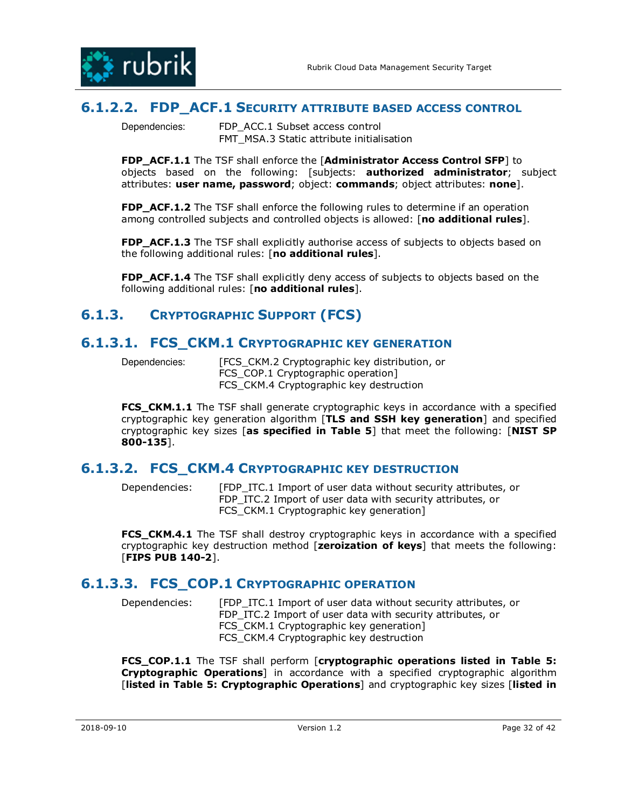

## **6.1.2.2. FDP\_ACF.1 SECURITY ATTRIBUTE BASED ACCESS CONTROL**

Dependencies: FDP\_ACC.1 Subset access control FMT\_MSA.3 Static attribute initialisation

**FDP\_ACF.1.1** The TSF shall enforce the [**Administrator Access Control SFP**] to objects based on the following: [subjects: **authorized administrator**; subject attributes: **user name, password**; object: **commands**; object attributes: **none**].

**FDP\_ACF.1.2** The TSF shall enforce the following rules to determine if an operation among controlled subjects and controlled objects is allowed: [**no additional rules**].

**FDP\_ACF.1.3** The TSF shall explicitly authorise access of subjects to objects based on the following additional rules: [**no additional rules**].

**FDP\_ACF.1.4** The TSF shall explicitly deny access of subjects to objects based on the following additional rules: [**no additional rules**].

# **6.1.3. CRYPTOGRAPHIC SUPPORT (FCS)**

## **6.1.3.1. FCS\_CKM.1 CRYPTOGRAPHIC KEY GENERATION**

Dependencies: [FCS CKM.2 Cryptographic key distribution, or FCS COP.1 Cryptographic operation] FCS CKM.4 Cryptographic key destruction

**FCS\_CKM.1.1** The TSF shall generate cryptographic keys in accordance with a specified cryptographic key generation algorithm [**TLS and SSH key generation**] and specified cryptographic key sizes [**as specified in Table 5**] that meet the following: [**NIST SP 800-135**].

## **6.1.3.2. FCS\_CKM.4 CRYPTOGRAPHIC KEY DESTRUCTION**

Dependencies: [FDP ITC.1 Import of user data without security attributes, or FDP\_ITC.2 Import of user data with security attributes, or FCS\_CKM.1 Cryptographic key generation]

**FCS\_CKM.4.1** The TSF shall destroy cryptographic keys in accordance with a specified cryptographic key destruction method [**zeroization of keys**] that meets the following: [**FIPS PUB 140-2**].

### **6.1.3.3. FCS\_COP.1 CRYPTOGRAPHIC OPERATION**

Dependencies: [FDP\_ITC.1 Import of user data without security attributes, or FDP ITC.2 Import of user data with security attributes, or FCS\_CKM.1 Cryptographic key generation] FCS CKM.4 Cryptographic key destruction

**FCS\_COP.1.1** The TSF shall perform [**cryptographic operations listed in Table 5: Cryptographic Operations**] in accordance with a specified cryptographic algorithm [**listed in Table 5: Cryptographic Operations**] and cryptographic key sizes [**listed in**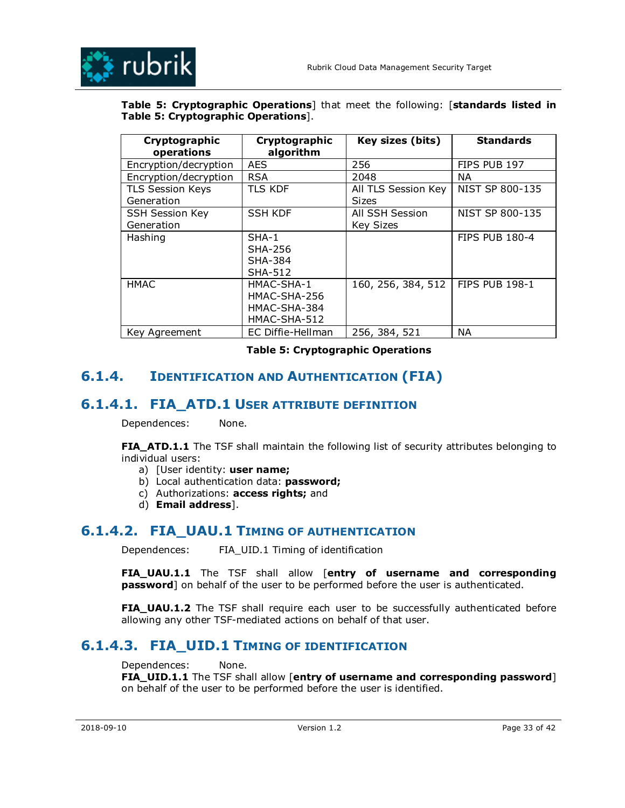

### **Table 5: Cryptographic Operations**] that meet the following: [**standards listed in Table 5: Cryptographic Operations**].

| Cryptographic           | Cryptographic     | Key sizes (bits)    | <b>Standards</b>      |
|-------------------------|-------------------|---------------------|-----------------------|
| operations              | algorithm         |                     |                       |
|                         |                   |                     |                       |
| Encryption/decryption   | <b>AES</b>        | 256                 | FIPS PUB 197          |
| Encryption/decryption   | <b>RSA</b>        | 2048                | ΝA                    |
| <b>TLS Session Keys</b> | <b>TLS KDF</b>    | All TLS Session Key | NIST SP 800-135       |
| Generation              |                   | <b>Sizes</b>        |                       |
| <b>SSH Session Key</b>  | <b>SSH KDF</b>    | All SSH Session     | NIST SP 800-135       |
| Generation              |                   | <b>Key Sizes</b>    |                       |
| Hashing                 | SHA-1             |                     | <b>FIPS PUB 180-4</b> |
|                         | SHA-256           |                     |                       |
|                         | <b>SHA-384</b>    |                     |                       |
|                         | <b>SHA-512</b>    |                     |                       |
| <b>HMAC</b>             | HMAC-SHA-1        | 160, 256, 384, 512  | <b>FIPS PUB 198-1</b> |
|                         | HMAC-SHA-256      |                     |                       |
|                         | HMAC-SHA-384      |                     |                       |
|                         | HMAC-SHA-512      |                     |                       |
| Key Agreement           | EC Diffie-Hellman | 256, 384, 521       | <b>NA</b>             |

**Table 5: Cryptographic Operations** 

## **6.1.4. IDENTIFICATION AND AUTHENTICATION (FIA)**

## **6.1.4.1. FIA ATD.1 USER ATTRIBUTE DEFINITION**

Dependences: None.

**FIA\_ATD.1.1** The TSF shall maintain the following list of security attributes belonging to individual users:

- a) [User identity: **user name;**
- b) Local authentication data: **password;**
- c) Authorizations: **access rights;** and
- d) **Email address**].

## **6.1.4.2. FIA\_UAU.1 TIMING OF AUTHENTICATION**

Dependences: FIA\_UID.1 Timing of identification

**FIA\_UAU.1.1** The TSF shall allow [**entry of username and corresponding password**] on behalf of the user to be performed before the user is authenticated.

**FIA\_UAU.1.2** The TSF shall require each user to be successfully authenticated before allowing any other TSF-mediated actions on behalf of that user.

## **6.1.4.3. FIA\_UID.1 TIMING OF IDENTIFICATION**

Dependences: None. **FIA\_UID.1.1** The TSF shall allow [**entry of username and corresponding password**] on behalf of the user to be performed before the user is identified.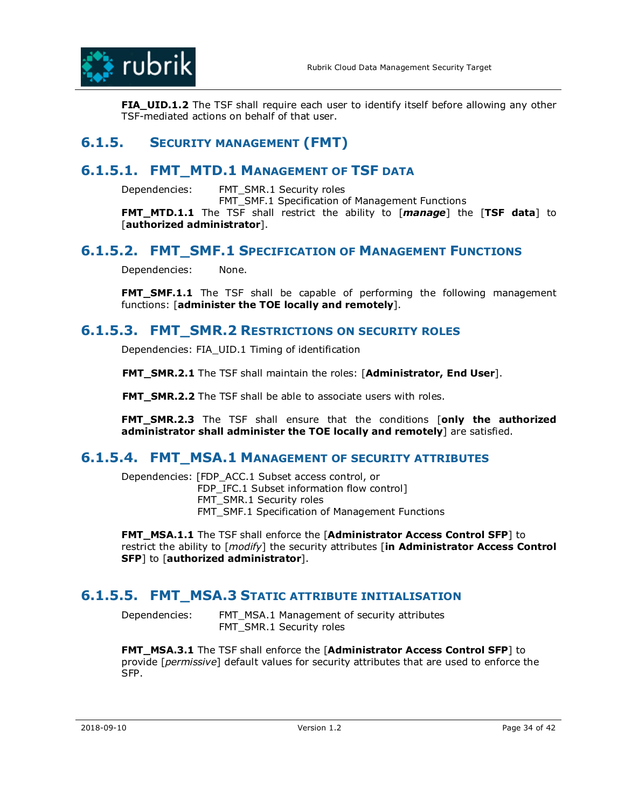

**FIA\_UID.1.2** The TSF shall require each user to identify itself before allowing any other TSF-mediated actions on behalf of that user.

# **6.1.5. SECURITY MANAGEMENT (FMT)**

## **6.1.5.1. FMT\_MTD.1 MANAGEMENT OF TSF DATA**

Dependencies: FMT\_SMR.1 Security roles

FMT\_SMF.1 Specification of Management Functions

**FMT\_MTD.1.1** The TSF shall restrict the ability to [*manage*] the [**TSF data**] to [**authorized administrator**].

## **6.1.5.2. FMT\_SMF.1 SPECIFICATION OF MANAGEMENT FUNCTIONS**

Dependencies: None.

**FMT SMF.1.1** The TSF shall be capable of performing the following management functions: [**administer the TOE locally and remotely**].

## **6.1.5.3. FMT\_SMR.2 RESTRICTIONS ON SECURITY ROLES**

Dependencies: FIA\_UID.1 Timing of identification

**FMT\_SMR.2.1** The TSF shall maintain the roles: [**Administrator, End User**].

**FMT\_SMR.2.2** The TSF shall be able to associate users with roles.

**FMT\_SMR.2.3** The TSF shall ensure that the conditions [**only the authorized administrator shall administer the TOE locally and remotely**] are satisfied.

### **6.1.5.4. FMT\_MSA.1 MANAGEMENT OF SECURITY ATTRIBUTES**

Dependencies: [FDP\_ACC.1 Subset access control, or FDP\_IFC.1 Subset information flow control] FMT SMR.1 Security roles FMT\_SMF.1 Specification of Management Functions

**FMT\_MSA.1.1** The TSF shall enforce the [**Administrator Access Control SFP**] to restrict the ability to [*modify*] the security attributes [**in Administrator Access Control SFP**] to [**authorized administrator**].

## **6.1.5.5. FMT\_MSA.3 STATIC ATTRIBUTE INITIALISATION**

Dependencies: FMT\_MSA.1 Management of security attributes FMT SMR.1 Security roles

**FMT\_MSA.3.1** The TSF shall enforce the [**Administrator Access Control SFP**] to provide [*permissive*] default values for security attributes that are used to enforce the SFP.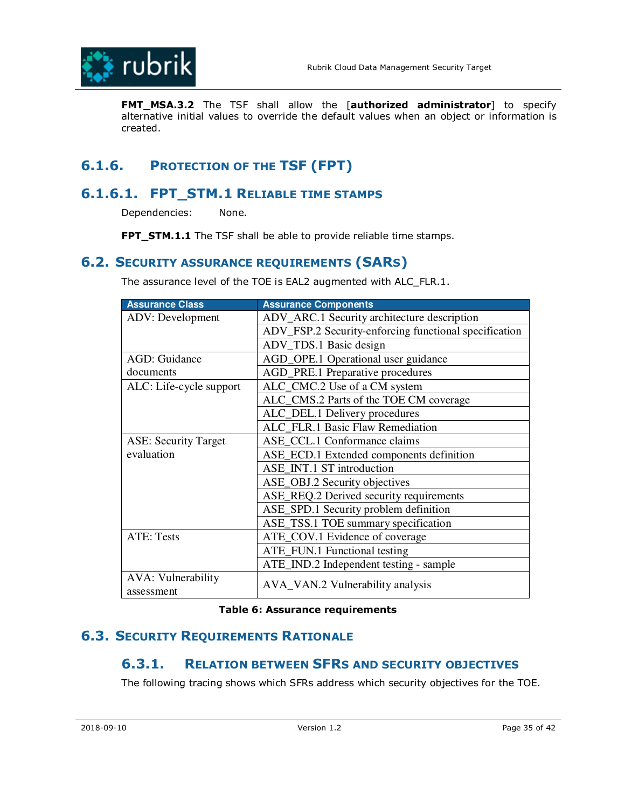

**FMT\_MSA.3.2** The TSF shall allow the [**authorized administrator**] to specify alternative initial values to override the default values when an object or information is created.

# **6.1.6. PROTECTION OF THE TSF (FPT)**

## **6.1.6.1. FPT\_STM.1 RELIABLE TIME STAMPS**

Dependencies: None.

**FPT\_STM.1.1** The TSF shall be able to provide reliable time stamps.

## **6.2. SECURITY ASSURANCE REQUIREMENTS (SARS)**

The assurance level of the TOE is EAL2 augmented with ALC\_FLR.1.

| <b>Assurance Class</b>                  | <b>Assurance Components</b>                           |
|-----------------------------------------|-------------------------------------------------------|
| <b>ADV:</b> Development                 | ADV_ARC.1 Security architecture description           |
|                                         | ADV_FSP.2 Security-enforcing functional specification |
|                                         | ADV_TDS.1 Basic design                                |
| <b>AGD: Guidance</b>                    | AGD_OPE.1 Operational user guidance                   |
| documents                               | AGD_PRE.1 Preparative procedures                      |
| ALC: Life-cycle support                 | ALC_CMC.2 Use of a CM system                          |
|                                         | ALC_CMS.2 Parts of the TOE CM coverage                |
|                                         | ALC_DEL.1 Delivery procedures                         |
|                                         | ALC FLR.1 Basic Flaw Remediation                      |
| <b>ASE: Security Target</b>             | ASE_CCL.1 Conformance claims                          |
| evaluation                              | ASE_ECD.1 Extended components definition              |
|                                         | ASE_INT.1 ST introduction                             |
|                                         | ASE_OBJ.2 Security objectives                         |
|                                         | ASE_REQ.2 Derived security requirements               |
|                                         | ASE_SPD.1 Security problem definition                 |
|                                         | ASE_TSS.1 TOE summary specification                   |
| <b>ATE: Tests</b>                       | ATE_COV.1 Evidence of coverage                        |
|                                         | ATE_FUN.1 Functional testing                          |
|                                         | ATE_IND.2 Independent testing - sample                |
| <b>AVA: Vulnerability</b><br>assessment | AVA_VAN.2 Vulnerability analysis                      |

#### **Table 6: Assurance requirements**

## **6.3. SECURITY REQUIREMENTS RATIONALE**

## **6.3.1. RELATION BETWEEN SFRS AND SECURITY OBJECTIVES**

The following tracing shows which SFRs address which security objectives for the TOE.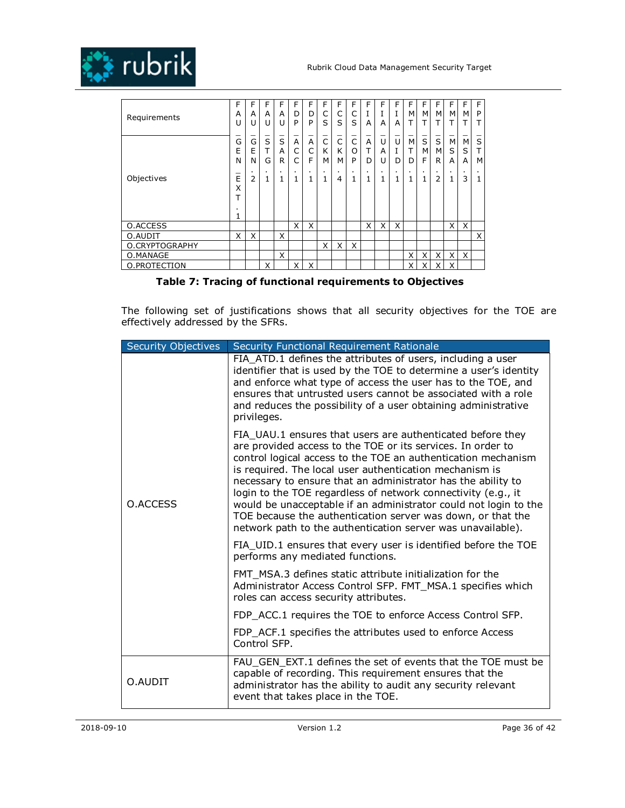



| Requirements   | F<br>A<br>U                | F<br>A<br>U         | F<br>A<br>U         | F<br>A      | F<br>D<br>P | F<br>D<br>P         | F<br>C<br>S                         | F<br>C<br>S | F<br>C<br>S | F<br>I<br>A | F<br>A         | F<br>1<br>А  | F<br>м<br>т    | F<br>м              | F<br>M<br>т          | F<br>М              | F<br>м<br>т         | F<br>P<br>т         |
|----------------|----------------------------|---------------------|---------------------|-------------|-------------|---------------------|-------------------------------------|-------------|-------------|-------------|----------------|--------------|----------------|---------------------|----------------------|---------------------|---------------------|---------------------|
|                | G<br>E<br>N                | G<br>E<br>N         | S<br>Т<br>G         | S<br>A<br>R | A<br>C<br>C | A<br>C<br>F         | $\overline{\overline{c}}$<br>K<br>м | C<br>K<br>M | C<br>O<br>P | A<br>т<br>D | U<br>A<br>U    | U<br>Ι.<br>D | M<br>T<br>D    | $\bar{s}$<br>M<br>F | $\bar{s}$<br>M.<br>R | M<br>S<br>A         | М<br>S<br>A         | S<br>т<br>M         |
| Objectives     | -<br>E<br>X<br>᠇<br>٠<br>┸ | $\blacksquare$<br>2 | $\blacksquare$<br>1 |             |             | $\blacksquare$<br>1 | $\blacksquare$<br>1                 | 4           | 1           | 1           | $\blacksquare$ | 1            | $\blacksquare$ | $\blacksquare$<br>1 | $\blacksquare$<br>2  | $\blacksquare$<br>1 | $\blacksquare$<br>3 | $\blacksquare$<br>1 |
| O.ACCESS       |                            |                     |                     |             | X           | X                   |                                     |             |             | X           | X              | X            |                |                     |                      | Χ                   | X                   |                     |
| O.AUDIT        | X                          | X                   |                     | X           |             |                     |                                     |             |             |             |                |              |                |                     |                      |                     |                     | X                   |
| O.CRYPTOGRAPHY |                            |                     |                     |             |             |                     | X                                   | X           | X           |             |                |              |                |                     |                      |                     |                     |                     |
| O.MANAGE       |                            |                     |                     | X           |             |                     |                                     |             |             |             |                |              | X              | X                   | X                    | Χ                   | X                   |                     |
| O.PROTECTION   |                            |                     | X                   |             | X           | X                   |                                     |             |             |             |                |              | X              | X                   | X                    | Χ                   |                     |                     |

### **Table 7: Tracing of functional requirements to Objectives**

The following set of justifications shows that all security objectives for the TOE are effectively addressed by the SFRs.

| <b>Security Objectives</b> | Security Functional Requirement Rationale                                                                                                                                                                                                                                                                                                                                                                                                                                                                                                                                                |
|----------------------------|------------------------------------------------------------------------------------------------------------------------------------------------------------------------------------------------------------------------------------------------------------------------------------------------------------------------------------------------------------------------------------------------------------------------------------------------------------------------------------------------------------------------------------------------------------------------------------------|
|                            | FIA_ATD.1 defines the attributes of users, including a user<br>identifier that is used by the TOE to determine a user's identity<br>and enforce what type of access the user has to the TOE, and<br>ensures that untrusted users cannot be associated with a role<br>and reduces the possibility of a user obtaining administrative<br>privileges.                                                                                                                                                                                                                                       |
| O.ACCESS                   | FIA UAU.1 ensures that users are authenticated before they<br>are provided access to the TOE or its services. In order to<br>control logical access to the TOE an authentication mechanism<br>is required. The local user authentication mechanism is<br>necessary to ensure that an administrator has the ability to<br>login to the TOE regardless of network connectivity (e.g., it<br>would be unacceptable if an administrator could not login to the<br>TOE because the authentication server was down, or that the<br>network path to the authentication server was unavailable). |
|                            | FIA_UID.1 ensures that every user is identified before the TOE<br>performs any mediated functions.                                                                                                                                                                                                                                                                                                                                                                                                                                                                                       |
|                            | FMT MSA.3 defines static attribute initialization for the<br>Administrator Access Control SFP. FMT_MSA.1 specifies which<br>roles can access security attributes.                                                                                                                                                                                                                                                                                                                                                                                                                        |
|                            | FDP ACC.1 requires the TOE to enforce Access Control SFP.                                                                                                                                                                                                                                                                                                                                                                                                                                                                                                                                |
|                            | FDP_ACF.1 specifies the attributes used to enforce Access<br>Control SFP.                                                                                                                                                                                                                                                                                                                                                                                                                                                                                                                |
| O.AUDIT                    | FAU GEN EXT.1 defines the set of events that the TOE must be<br>capable of recording. This requirement ensures that the<br>administrator has the ability to audit any security relevant<br>event that takes place in the TOE.                                                                                                                                                                                                                                                                                                                                                            |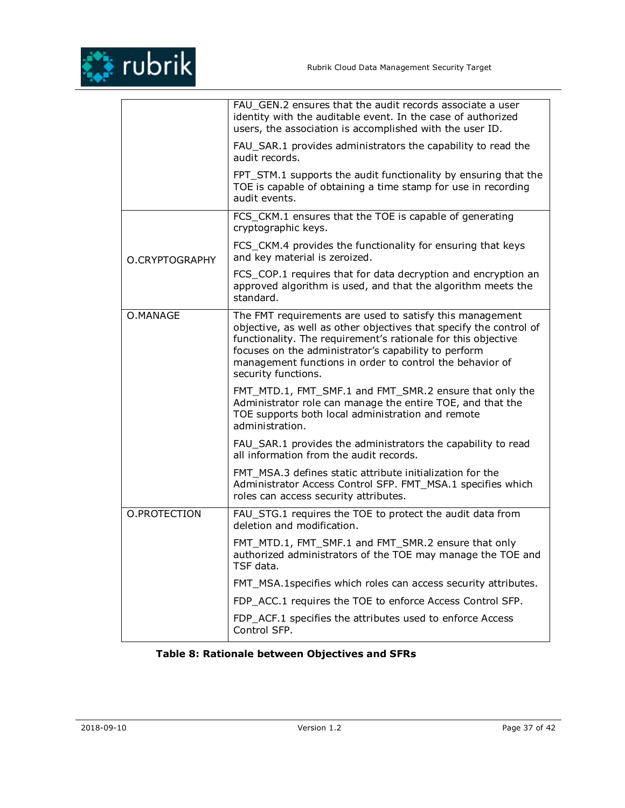|                | FAU_GEN.2 ensures that the audit records associate a user<br>identity with the auditable event. In the case of authorized<br>users, the association is accomplished with the user ID.                                                                                                                                                      |
|----------------|--------------------------------------------------------------------------------------------------------------------------------------------------------------------------------------------------------------------------------------------------------------------------------------------------------------------------------------------|
|                | FAU_SAR.1 provides administrators the capability to read the<br>audit records.                                                                                                                                                                                                                                                             |
|                | FPT_STM.1 supports the audit functionality by ensuring that the<br>TOE is capable of obtaining a time stamp for use in recording<br>audit events.                                                                                                                                                                                          |
|                | FCS_CKM.1 ensures that the TOE is capable of generating<br>cryptographic keys.                                                                                                                                                                                                                                                             |
| O.CRYPTOGRAPHY | FCS_CKM.4 provides the functionality for ensuring that keys<br>and key material is zeroized.                                                                                                                                                                                                                                               |
|                | FCS_COP.1 requires that for data decryption and encryption an<br>approved algorithm is used, and that the algorithm meets the<br>standard.                                                                                                                                                                                                 |
| O.MANAGE       | The FMT requirements are used to satisfy this management<br>objective, as well as other objectives that specify the control of<br>functionality. The requirement's rationale for this objective<br>focuses on the administrator's capability to perform<br>management functions in order to control the behavior of<br>security functions. |
|                | FMT_MTD.1, FMT_SMF.1 and FMT_SMR.2 ensure that only the<br>Administrator role can manage the entire TOE, and that the<br>TOE supports both local administration and remote<br>administration.                                                                                                                                              |
|                | FAU_SAR.1 provides the administrators the capability to read<br>all information from the audit records.                                                                                                                                                                                                                                    |
|                | FMT_MSA.3 defines static attribute initialization for the<br>Administrator Access Control SFP. FMT_MSA.1 specifies which<br>roles can access security attributes.                                                                                                                                                                          |
| O.PROTECTION   | FAU_STG.1 requires the TOE to protect the audit data from<br>deletion and modification.                                                                                                                                                                                                                                                    |
|                | FMT_MTD.1, FMT_SMF.1 and FMT_SMR.2 ensure that only<br>authorized administrators of the TOE may manage the TOE and<br>TSF data.                                                                                                                                                                                                            |
|                | FMT_MSA.1specifies which roles can access security attributes.                                                                                                                                                                                                                                                                             |
|                | FDP_ACC.1 requires the TOE to enforce Access Control SFP.                                                                                                                                                                                                                                                                                  |
|                | FDP ACF.1 specifies the attributes used to enforce Access<br>Control SFP.                                                                                                                                                                                                                                                                  |

## **Table 8: Rationale between Objectives and SFRs**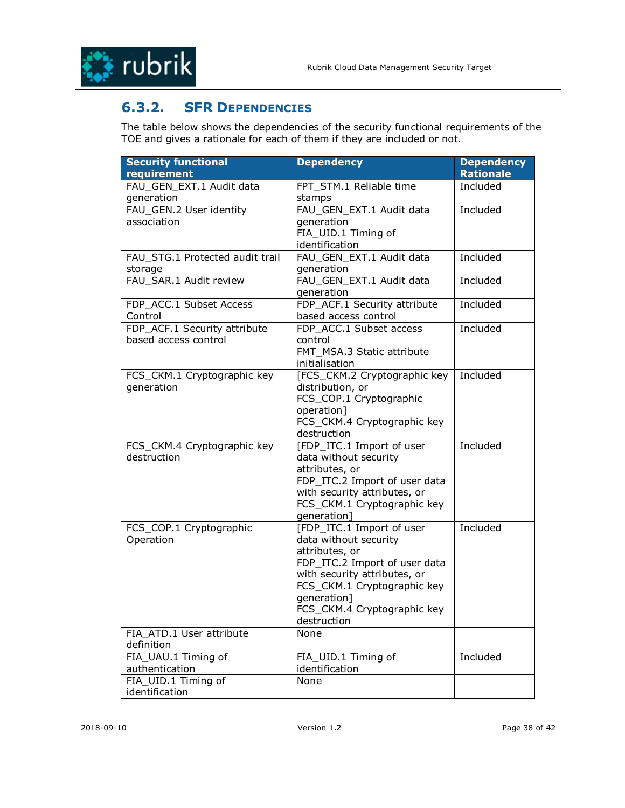

## **6.3.2. SFR DEPENDENCIES**

The table below shows the dependencies of the security functional requirements of the TOE and gives a rationale for each of them if they are included or not.

| <b>Security functional</b>      | <b>Dependency</b>             | <b>Dependency</b> |
|---------------------------------|-------------------------------|-------------------|
| requirement                     |                               | <b>Rationale</b>  |
| FAU_GEN_EXT.1 Audit data        | FPT_STM.1 Reliable time       | Included          |
| generation                      | stamps                        |                   |
| FAU_GEN.2 User identity         | FAU GEN EXT.1 Audit data      | Included          |
| association                     | generation                    |                   |
|                                 | FIA_UID.1 Timing of           |                   |
|                                 | identification                |                   |
| FAU STG.1 Protected audit trail | FAU GEN EXT.1 Audit data      | Included          |
| storage                         | generation                    |                   |
| FAU SAR.1 Audit review          | FAU GEN EXT.1 Audit data      | Included          |
|                                 | generation                    |                   |
| FDP_ACC.1 Subset Access         | FDP ACF.1 Security attribute  | Included          |
| Control                         | based access control          |                   |
| FDP_ACF.1 Security attribute    | FDP ACC.1 Subset access       | Included          |
| based access control            | control                       |                   |
|                                 | FMT MSA.3 Static attribute    |                   |
|                                 | initialisation                |                   |
| FCS_CKM.1 Cryptographic key     | [FCS CKM.2 Cryptographic key  | Included          |
| generation                      | distribution, or              |                   |
|                                 | FCS_COP.1 Cryptographic       |                   |
|                                 | operation]                    |                   |
|                                 | FCS_CKM.4 Cryptographic key   |                   |
|                                 | destruction                   |                   |
| FCS_CKM.4 Cryptographic key     | [FDP_ITC.1 Import of user     | Included          |
| destruction                     | data without security         |                   |
|                                 | attributes, or                |                   |
|                                 | FDP_ITC.2 Import of user data |                   |
|                                 | with security attributes, or  |                   |
|                                 | FCS_CKM.1 Cryptographic key   |                   |
|                                 | generation]                   |                   |
| FCS_COP.1 Cryptographic         | [FDP_ITC.1 Import of user     | Included          |
| Operation                       | data without security         |                   |
|                                 | attributes, or                |                   |
|                                 | FDP_ITC.2 Import of user data |                   |
|                                 | with security attributes, or  |                   |
|                                 | FCS_CKM.1 Cryptographic key   |                   |
|                                 | generation]                   |                   |
|                                 | FCS_CKM.4 Cryptographic key   |                   |
|                                 | destruction                   |                   |
| FIA ATD.1 User attribute        | None                          |                   |
| definition                      |                               |                   |
| FIA_UAU.1 Timing of             | FIA_UID.1 Timing of           | Included          |
| authentication                  | identification                |                   |
| FIA_UID.1 Timing of             | None                          |                   |
| identification                  |                               |                   |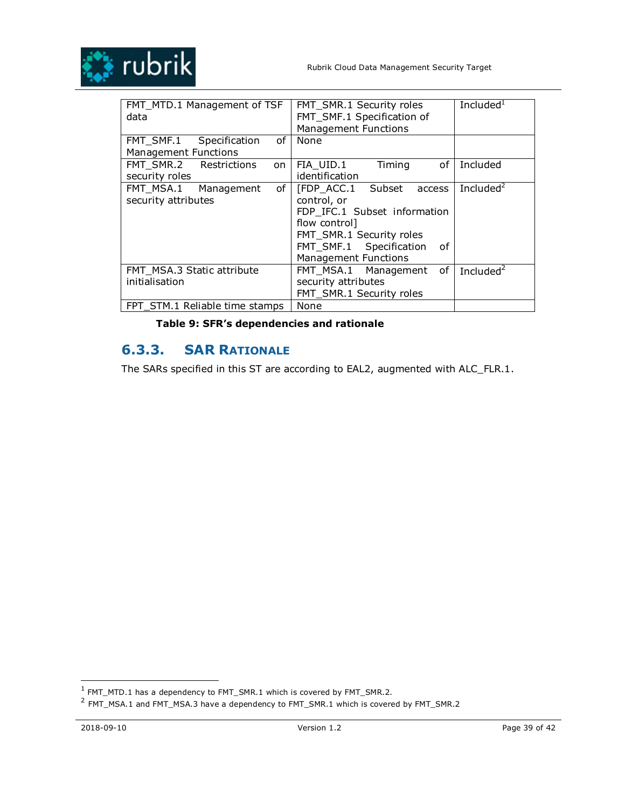

| FMT MTD.1 Management of TSF<br>data                          | FMT SMR.1 Security roles<br>FMT SMF.1 Specification of<br><b>Management Functions</b>                                                                                                | Included $1$ |
|--------------------------------------------------------------|--------------------------------------------------------------------------------------------------------------------------------------------------------------------------------------|--------------|
| οf<br>FMT_SMF.1 Specification<br><b>Management Functions</b> | None                                                                                                                                                                                 |              |
| FMT SMR.2 Restrictions<br>on<br>security roles               | FIA UID.1<br>Timing<br>οf<br>identification                                                                                                                                          | Included     |
| of<br>FMT MSA.1<br>Management<br>security attributes         | [FDP ACC.1 Subset access<br>control, or<br>FDP_IFC.1 Subset information<br>flow control]<br>FMT SMR.1 Security roles<br>FMT_SMF.1 Specification<br>οf<br><b>Management Functions</b> | Included $2$ |
| FMT MSA.3 Static attribute<br>initialisation                 | 0f<br>FMT MSA.1 Management<br>security attributes<br>FMT SMR.1 Security roles                                                                                                        | Included $2$ |
| FPT STM.1 Reliable time stamps                               | None                                                                                                                                                                                 |              |

## **Table 9: SFR's dependencies and rationale**

# **6.3.3. SAR RATIONALE**

The SARs specified in this ST are according to EAL2, augmented with ALC\_FLR.1.

 $\frac{1}{1}$  FMT\_MTD.1 has a dependency to FMT\_SMR.1 which is covered by FMT\_SMR.2.

 $^2$  FMT\_MSA.1 and FMT\_MSA.3 have a dependency to FMT\_SMR.1 which is covered by FMT\_SMR.2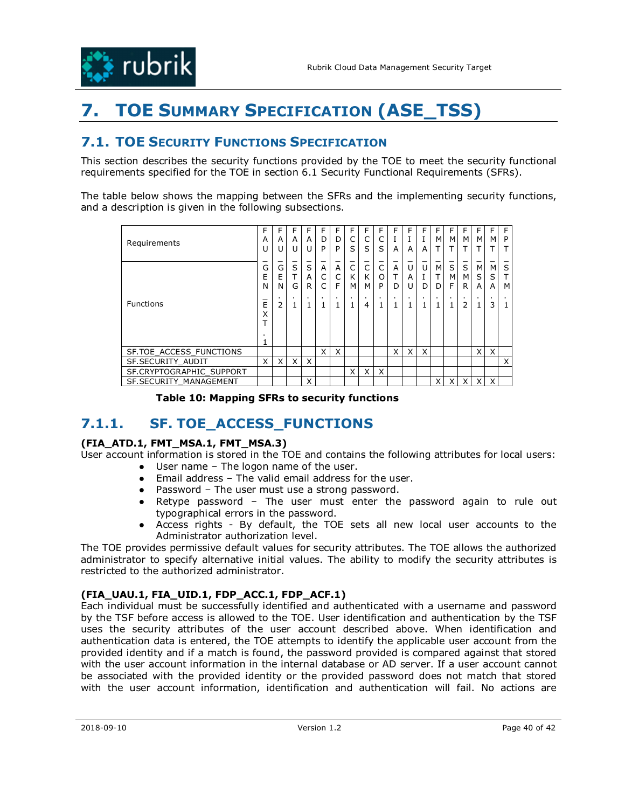

# **7. TOE SUMMARY SPECIFICATION (ASE\_TSS)**

## **7.1. TOE SECURITY FUNCTIONS SPECIFICATION**

This section describes the security functions provided by the TOE to meet the security functional requirements specified for the TOE in section 6.1 Security Functional Requirements (SFRs).

The table below shows the mapping between the SFRs and the implementing security functions, and a description is given in the following subsections.

| Requirements                   | F<br>A<br>U    | F<br>A<br>U         | F<br>A<br>U | F<br>A<br>U | F<br>D<br>P | F<br>D<br>P | F<br>C<br>S    | F<br>C<br>S | F<br>S | F<br>A      | F<br>A         | F<br>A | F<br>М         | F<br>M.<br>т   | F<br>M<br>т         | F<br>м<br>Т         | F.<br>м<br>т | F<br>P         |
|--------------------------------|----------------|---------------------|-------------|-------------|-------------|-------------|----------------|-------------|--------|-------------|----------------|--------|----------------|----------------|---------------------|---------------------|--------------|----------------|
|                                | G<br>E<br>N    | $\bar{G}$<br>E<br>N | S<br>᠇<br>G | S<br>A<br>R | A           | A<br>C<br>F | C<br>K<br>М    | C<br>K<br>M | O<br>P | A<br>т<br>D | U<br>A<br>U    | U<br>D | M<br>Т<br>D    | S<br>M.<br>F   | S<br>M.<br>R        | M<br>S<br>A         | М<br>S<br>A  | S<br>м         |
| <b>Functions</b>               | $\bar{E}$<br>X | $\blacksquare$<br>2 |             |             |             |             | $\blacksquare$ | 4           |        |             | $\blacksquare$ | ٠      | $\blacksquare$ | $\blacksquare$ | $\blacksquare$<br>2 | $\blacksquare$<br>1 | ٠<br>3       | $\blacksquare$ |
| SF.TOE ACCESS FUNCTIONS        |                |                     |             |             | X           | X           |                |             |        | X           | X              | X      |                |                |                     | X                   | X            |                |
| SF.SECURITY AUDIT              | X              | X                   | X           | X           |             |             |                |             |        |             |                |        |                |                |                     |                     |              | X              |
| SF.CRYPTOGRAPHIC SUPPORT       |                |                     |             |             |             |             | X              | X           | X      |             |                |        |                |                |                     |                     |              |                |
| <b>SF. SECURITY MANAGEMENT</b> |                |                     |             | Χ           |             |             |                |             |        |             |                |        | X              | X              | X                   | X                   | X            |                |

**Table 10: Mapping SFRs to security functions** 

# **7.1.1. SF. TOE\_ACCESS\_FUNCTIONS**

### **(FIA\_ATD.1, FMT\_MSA.1, FMT\_MSA.3)**

User account information is stored in the TOE and contains the following attributes for local users: ● User name – The logon name of the user.

- Email address The valid email address for the user.
- Password The user must use a strong password.
- Retype password The user must enter the password again to rule out typographical errors in the password.
- Access rights By default, the TOE sets all new local user accounts to the Administrator authorization level.

The TOE provides permissive default values for security attributes. The TOE allows the authorized administrator to specify alternative initial values. The ability to modify the security attributes is restricted to the authorized administrator.

### **(FIA\_UAU.1, FIA\_UID.1, FDP\_ACC.1, FDP\_ACF.1)**

Each individual must be successfully identified and authenticated with a username and password by the TSF before access is allowed to the TOE. User identification and authentication by the TSF uses the security attributes of the user account described above. When identification and authentication data is entered, the TOE attempts to identify the applicable user account from the provided identity and if a match is found, the password provided is compared against that stored with the user account information in the internal database or AD server. If a user account cannot be associated with the provided identity or the provided password does not match that stored with the user account information, identification and authentication will fail. No actions are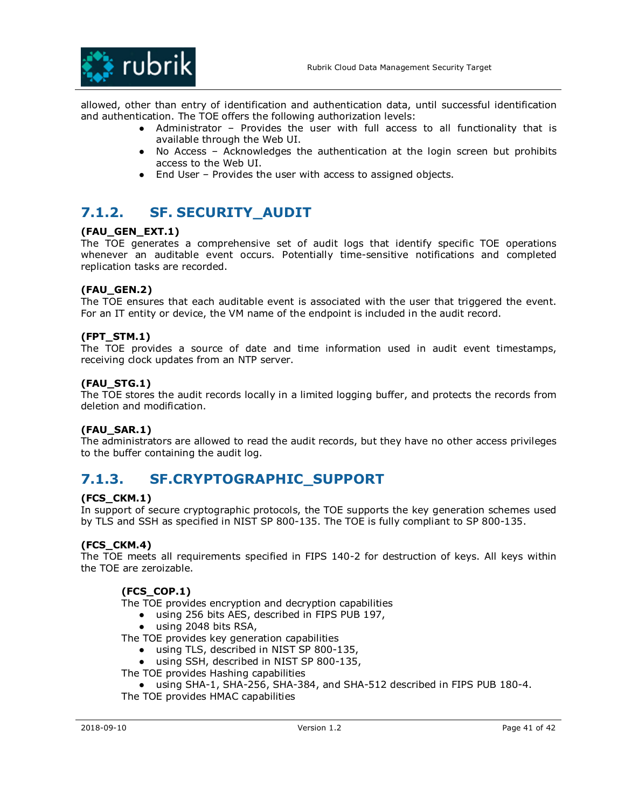

allowed, other than entry of identification and authentication data, until successful identification and authentication. The TOE offers the following authorization levels:

- Administrator Provides the user with full access to all functionality that is available through the Web UI.
- No Access Acknowledges the authentication at the login screen but prohibits access to the Web UI.
- End User Provides the user with access to assigned objects.

# **7.1.2. SF. SECURITY\_AUDIT**

### **(FAU\_GEN\_EXT.1)**

The TOE generates a comprehensive set of audit logs that identify specific TOE operations whenever an auditable event occurs. Potentially time-sensitive notifications and completed replication tasks are recorded.

### **(FAU\_GEN.2)**

The TOE ensures that each auditable event is associated with the user that triggered the event. For an IT entity or device, the VM name of the endpoint is included in the audit record.

### **(FPT\_STM.1)**

The TOE provides a source of date and time information used in audit event timestamps, receiving clock updates from an NTP server.

### **(FAU\_STG.1)**

The TOE stores the audit records locally in a limited logging buffer, and protects the records from deletion and modification.

### **(FAU\_SAR.1)**

The administrators are allowed to read the audit records, but they have no other access privileges to the buffer containing the audit log.

# **7.1.3. SF.CRYPTOGRAPHIC\_SUPPORT**

### **(FCS\_CKM.1)**

In support of secure cryptographic protocols, the TOE supports the key generation schemes used by TLS and SSH as specified in NIST SP 800-135. The TOE is fully compliant to SP 800-135.

### **(FCS\_CKM.4)**

The TOE meets all requirements specified in FIPS 140-2 for destruction of keys. All keys within the TOE are zeroizable.

### **(FCS\_COP.1)**

The TOE provides encryption and decryption capabilities

- using 256 bits AES, described in FIPS PUB 197,
- using 2048 bits RSA,

The TOE provides key generation capabilities

- using TLS, described in NIST SP 800-135,
- using SSH, described in NIST SP 800-135,
- The TOE provides Hashing capabilities

● using SHA-1, SHA-256, SHA-384, and SHA-512 described in FIPS PUB 180-4. The TOE provides HMAC capabilities